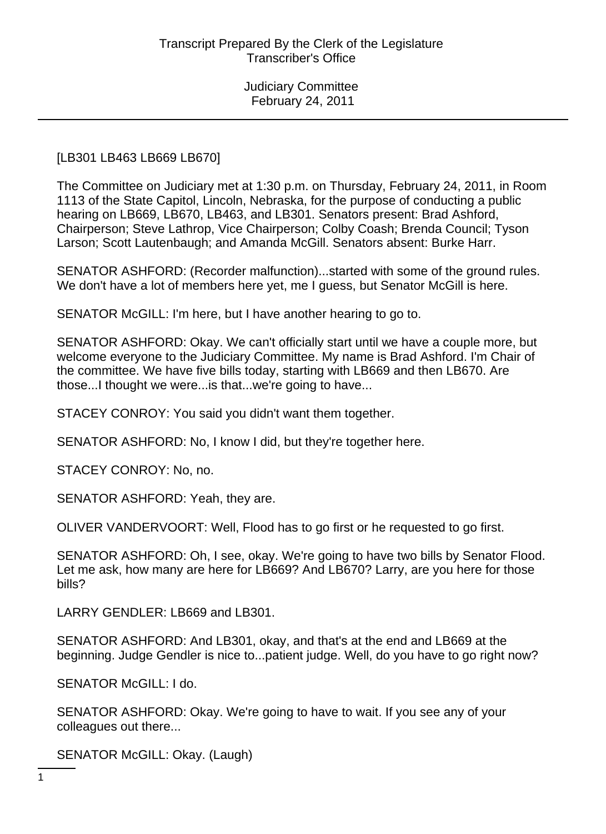#### [LB301 LB463 LB669 LB670]

The Committee on Judiciary met at 1:30 p.m. on Thursday, February 24, 2011, in Room 1113 of the State Capitol, Lincoln, Nebraska, for the purpose of conducting a public hearing on LB669, LB670, LB463, and LB301. Senators present: Brad Ashford, Chairperson; Steve Lathrop, Vice Chairperson; Colby Coash; Brenda Council; Tyson Larson; Scott Lautenbaugh; and Amanda McGill. Senators absent: Burke Harr.

SENATOR ASHFORD: (Recorder malfunction)...started with some of the ground rules. We don't have a lot of members here yet, me I guess, but Senator McGill is here.

SENATOR McGILL: I'm here, but I have another hearing to go to.

SENATOR ASHFORD: Okay. We can't officially start until we have a couple more, but welcome everyone to the Judiciary Committee. My name is Brad Ashford. I'm Chair of the committee. We have five bills today, starting with LB669 and then LB670. Are those...I thought we were...is that...we're going to have...

STACEY CONROY: You said you didn't want them together.

SENATOR ASHFORD: No, I know I did, but they're together here.

STACEY CONROY: No, no.

SENATOR ASHFORD: Yeah, they are.

OLIVER VANDERVOORT: Well, Flood has to go first or he requested to go first.

SENATOR ASHFORD: Oh, I see, okay. We're going to have two bills by Senator Flood. Let me ask, how many are here for LB669? And LB670? Larry, are you here for those bills?

LARRY GENDLER: LB669 and LB301.

SENATOR ASHFORD: And LB301, okay, and that's at the end and LB669 at the beginning. Judge Gendler is nice to...patient judge. Well, do you have to go right now?

SENATOR McGILL: I do.

SENATOR ASHFORD: Okay. We're going to have to wait. If you see any of your colleagues out there...

SENATOR McGILL: Okay. (Laugh)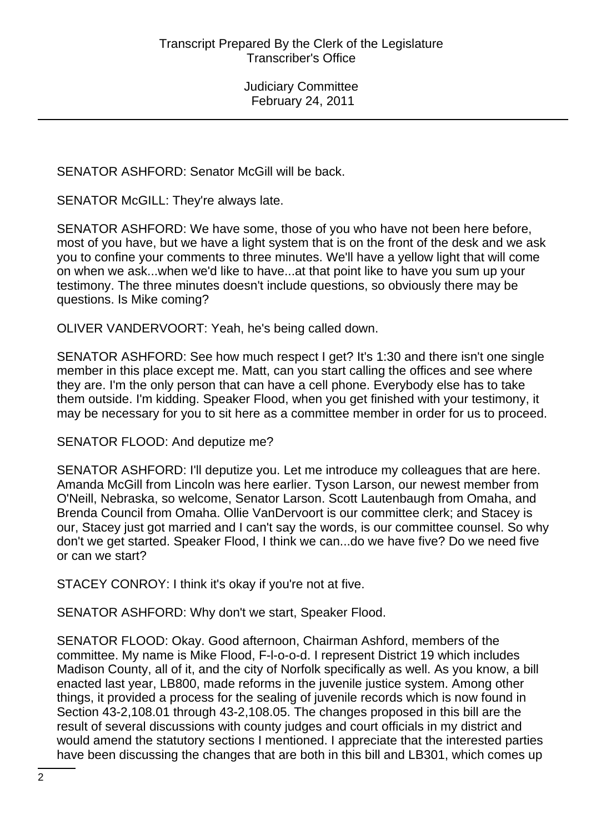SENATOR ASHFORD: Senator McGill will be back.

SENATOR McGILL: They're always late.

SENATOR ASHFORD: We have some, those of you who have not been here before, most of you have, but we have a light system that is on the front of the desk and we ask you to confine your comments to three minutes. We'll have a yellow light that will come on when we ask...when we'd like to have...at that point like to have you sum up your testimony. The three minutes doesn't include questions, so obviously there may be questions. Is Mike coming?

OLIVER VANDERVOORT: Yeah, he's being called down.

SENATOR ASHFORD: See how much respect I get? It's 1:30 and there isn't one single member in this place except me. Matt, can you start calling the offices and see where they are. I'm the only person that can have a cell phone. Everybody else has to take them outside. I'm kidding. Speaker Flood, when you get finished with your testimony, it may be necessary for you to sit here as a committee member in order for us to proceed.

SENATOR FLOOD: And deputize me?

SENATOR ASHFORD: I'll deputize you. Let me introduce my colleagues that are here. Amanda McGill from Lincoln was here earlier. Tyson Larson, our newest member from O'Neill, Nebraska, so welcome, Senator Larson. Scott Lautenbaugh from Omaha, and Brenda Council from Omaha. Ollie VanDervoort is our committee clerk; and Stacey is our, Stacey just got married and I can't say the words, is our committee counsel. So why don't we get started. Speaker Flood, I think we can...do we have five? Do we need five or can we start?

STACEY CONROY: I think it's okay if you're not at five.

SENATOR ASHFORD: Why don't we start, Speaker Flood.

SENATOR FLOOD: Okay. Good afternoon, Chairman Ashford, members of the committee. My name is Mike Flood, F-l-o-o-d. I represent District 19 which includes Madison County, all of it, and the city of Norfolk specifically as well. As you know, a bill enacted last year, LB800, made reforms in the juvenile justice system. Among other things, it provided a process for the sealing of juvenile records which is now found in Section 43-2,108.01 through 43-2,108.05. The changes proposed in this bill are the result of several discussions with county judges and court officials in my district and would amend the statutory sections I mentioned. I appreciate that the interested parties have been discussing the changes that are both in this bill and LB301, which comes up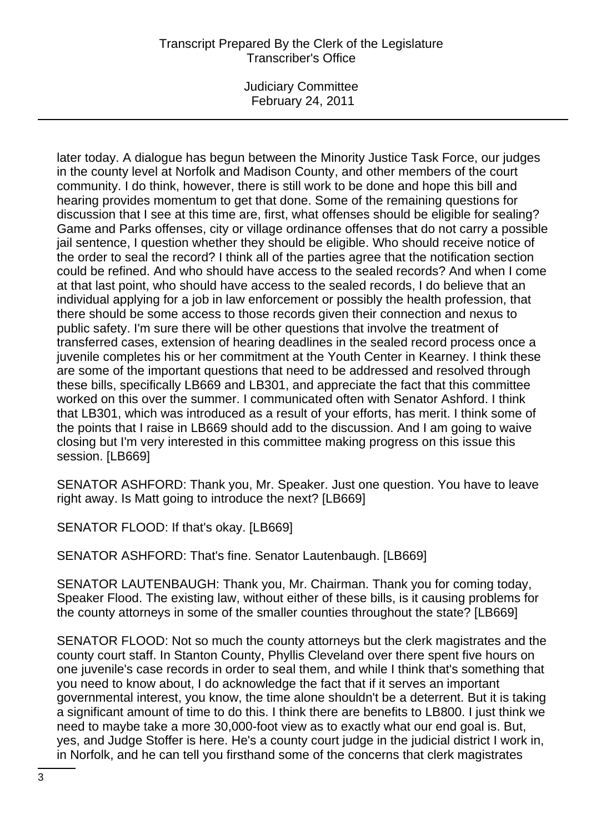Judiciary Committee February 24, 2011

later today. A dialogue has begun between the Minority Justice Task Force, our judges in the county level at Norfolk and Madison County, and other members of the court community. I do think, however, there is still work to be done and hope this bill and hearing provides momentum to get that done. Some of the remaining questions for discussion that I see at this time are, first, what offenses should be eligible for sealing? Game and Parks offenses, city or village ordinance offenses that do not carry a possible jail sentence, I question whether they should be eligible. Who should receive notice of the order to seal the record? I think all of the parties agree that the notification section could be refined. And who should have access to the sealed records? And when I come at that last point, who should have access to the sealed records, I do believe that an individual applying for a job in law enforcement or possibly the health profession, that there should be some access to those records given their connection and nexus to public safety. I'm sure there will be other questions that involve the treatment of transferred cases, extension of hearing deadlines in the sealed record process once a juvenile completes his or her commitment at the Youth Center in Kearney. I think these are some of the important questions that need to be addressed and resolved through these bills, specifically LB669 and LB301, and appreciate the fact that this committee worked on this over the summer. I communicated often with Senator Ashford. I think that LB301, which was introduced as a result of your efforts, has merit. I think some of the points that I raise in LB669 should add to the discussion. And I am going to waive closing but I'm very interested in this committee making progress on this issue this session. [LB669]

SENATOR ASHFORD: Thank you, Mr. Speaker. Just one question. You have to leave right away. Is Matt going to introduce the next? [LB669]

SENATOR FLOOD: If that's okay. [LB669]

SENATOR ASHFORD: That's fine. Senator Lautenbaugh. [LB669]

SENATOR LAUTENBAUGH: Thank you, Mr. Chairman. Thank you for coming today, Speaker Flood. The existing law, without either of these bills, is it causing problems for the county attorneys in some of the smaller counties throughout the state? [LB669]

SENATOR FLOOD: Not so much the county attorneys but the clerk magistrates and the county court staff. In Stanton County, Phyllis Cleveland over there spent five hours on one juvenile's case records in order to seal them, and while I think that's something that you need to know about, I do acknowledge the fact that if it serves an important governmental interest, you know, the time alone shouldn't be a deterrent. But it is taking a significant amount of time to do this. I think there are benefits to LB800. I just think we need to maybe take a more 30,000-foot view as to exactly what our end goal is. But, yes, and Judge Stoffer is here. He's a county court judge in the judicial district I work in, in Norfolk, and he can tell you firsthand some of the concerns that clerk magistrates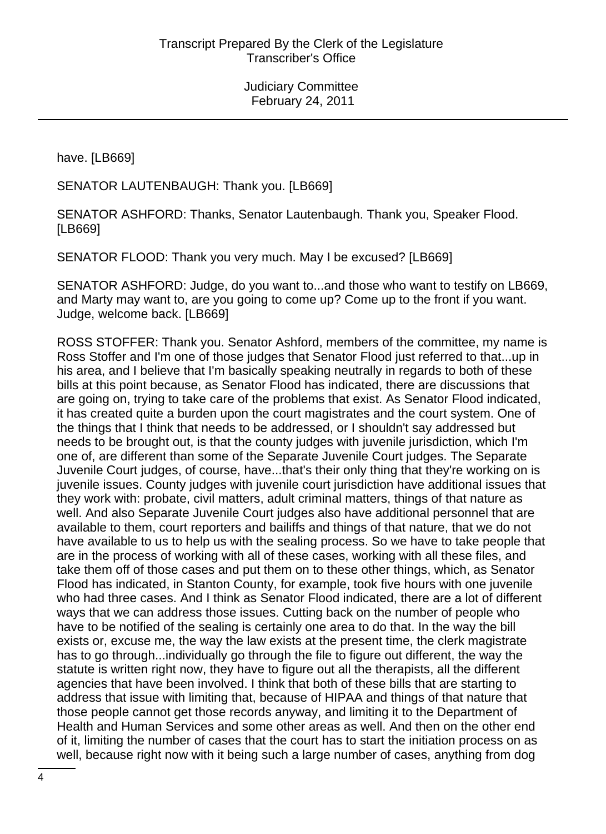have. [LB669]

SENATOR LAUTENBAUGH: Thank you. [LB669]

SENATOR ASHFORD: Thanks, Senator Lautenbaugh. Thank you, Speaker Flood. [LB669]

SENATOR FLOOD: Thank you very much. May I be excused? [LB669]

SENATOR ASHFORD: Judge, do you want to...and those who want to testify on LB669, and Marty may want to, are you going to come up? Come up to the front if you want. Judge, welcome back. [LB669]

ROSS STOFFER: Thank you. Senator Ashford, members of the committee, my name is Ross Stoffer and I'm one of those judges that Senator Flood just referred to that...up in his area, and I believe that I'm basically speaking neutrally in regards to both of these bills at this point because, as Senator Flood has indicated, there are discussions that are going on, trying to take care of the problems that exist. As Senator Flood indicated, it has created quite a burden upon the court magistrates and the court system. One of the things that I think that needs to be addressed, or I shouldn't say addressed but needs to be brought out, is that the county judges with juvenile jurisdiction, which I'm one of, are different than some of the Separate Juvenile Court judges. The Separate Juvenile Court judges, of course, have...that's their only thing that they're working on is juvenile issues. County judges with juvenile court jurisdiction have additional issues that they work with: probate, civil matters, adult criminal matters, things of that nature as well. And also Separate Juvenile Court judges also have additional personnel that are available to them, court reporters and bailiffs and things of that nature, that we do not have available to us to help us with the sealing process. So we have to take people that are in the process of working with all of these cases, working with all these files, and take them off of those cases and put them on to these other things, which, as Senator Flood has indicated, in Stanton County, for example, took five hours with one juvenile who had three cases. And I think as Senator Flood indicated, there are a lot of different ways that we can address those issues. Cutting back on the number of people who have to be notified of the sealing is certainly one area to do that. In the way the bill exists or, excuse me, the way the law exists at the present time, the clerk magistrate has to go through...individually go through the file to figure out different, the way the statute is written right now, they have to figure out all the therapists, all the different agencies that have been involved. I think that both of these bills that are starting to address that issue with limiting that, because of HIPAA and things of that nature that those people cannot get those records anyway, and limiting it to the Department of Health and Human Services and some other areas as well. And then on the other end of it, limiting the number of cases that the court has to start the initiation process on as well, because right now with it being such a large number of cases, anything from dog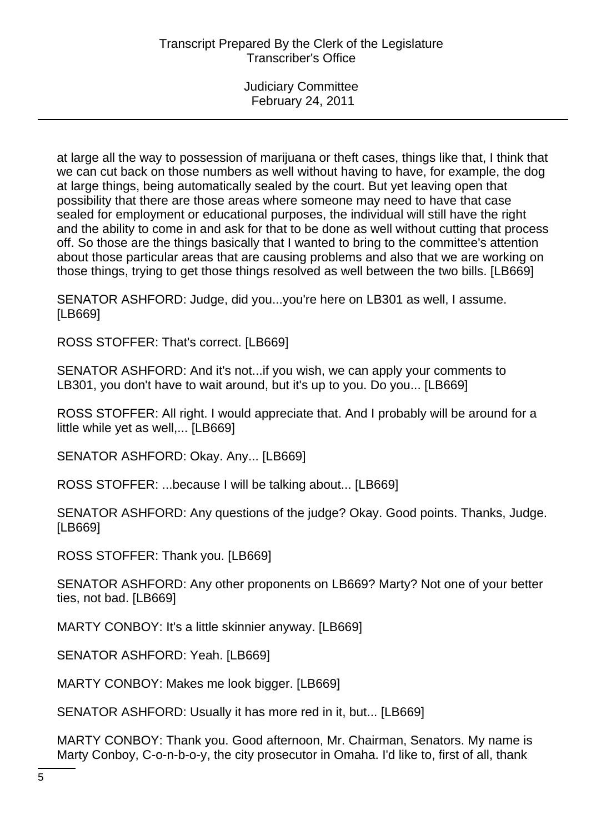at large all the way to possession of marijuana or theft cases, things like that, I think that we can cut back on those numbers as well without having to have, for example, the dog at large things, being automatically sealed by the court. But yet leaving open that possibility that there are those areas where someone may need to have that case sealed for employment or educational purposes, the individual will still have the right and the ability to come in and ask for that to be done as well without cutting that process off. So those are the things basically that I wanted to bring to the committee's attention about those particular areas that are causing problems and also that we are working on those things, trying to get those things resolved as well between the two bills. [LB669]

SENATOR ASHFORD: Judge, did you...you're here on LB301 as well, I assume. [LB669]

ROSS STOFFER: That's correct. [LB669]

SENATOR ASHFORD: And it's not...if you wish, we can apply your comments to LB301, you don't have to wait around, but it's up to you. Do you... [LB669]

ROSS STOFFER: All right. I would appreciate that. And I probably will be around for a little while yet as well,... [LB669]

SENATOR ASHFORD: Okay. Any... [LB669]

ROSS STOFFER: ...because I will be talking about... [LB669]

SENATOR ASHFORD: Any questions of the judge? Okay. Good points. Thanks, Judge. [LB669]

ROSS STOFFER: Thank you. [LB669]

SENATOR ASHFORD: Any other proponents on LB669? Marty? Not one of your better ties, not bad. [LB669]

MARTY CONBOY: It's a little skinnier anyway. [LB669]

SENATOR ASHFORD: Yeah. [LB669]

MARTY CONBOY: Makes me look bigger. [LB669]

SENATOR ASHFORD: Usually it has more red in it, but... [LB669]

MARTY CONBOY: Thank you. Good afternoon, Mr. Chairman, Senators. My name is Marty Conboy, C-o-n-b-o-y, the city prosecutor in Omaha. I'd like to, first of all, thank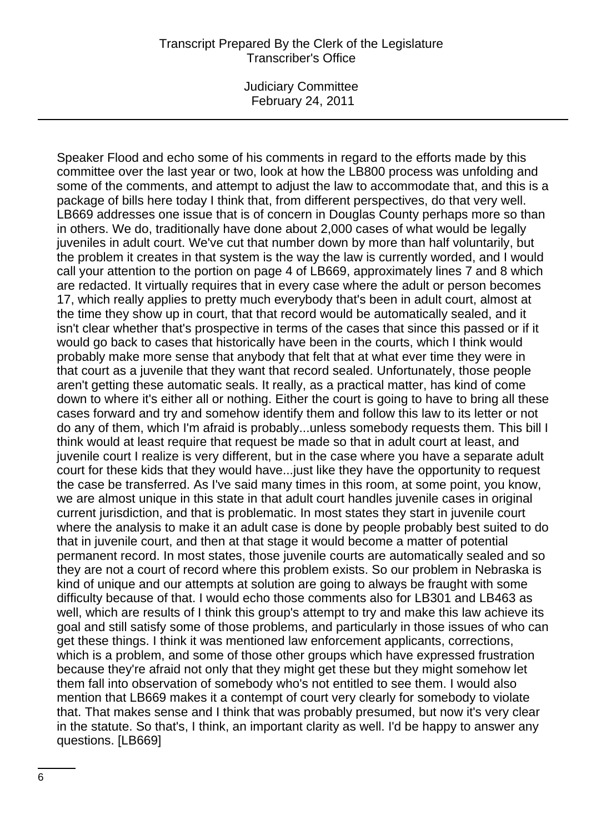Judiciary Committee February 24, 2011

Speaker Flood and echo some of his comments in regard to the efforts made by this committee over the last year or two, look at how the LB800 process was unfolding and some of the comments, and attempt to adjust the law to accommodate that, and this is a package of bills here today I think that, from different perspectives, do that very well. LB669 addresses one issue that is of concern in Douglas County perhaps more so than in others. We do, traditionally have done about 2,000 cases of what would be legally juveniles in adult court. We've cut that number down by more than half voluntarily, but the problem it creates in that system is the way the law is currently worded, and I would call your attention to the portion on page 4 of LB669, approximately lines 7 and 8 which are redacted. It virtually requires that in every case where the adult or person becomes 17, which really applies to pretty much everybody that's been in adult court, almost at the time they show up in court, that that record would be automatically sealed, and it isn't clear whether that's prospective in terms of the cases that since this passed or if it would go back to cases that historically have been in the courts, which I think would probably make more sense that anybody that felt that at what ever time they were in that court as a juvenile that they want that record sealed. Unfortunately, those people aren't getting these automatic seals. It really, as a practical matter, has kind of come down to where it's either all or nothing. Either the court is going to have to bring all these cases forward and try and somehow identify them and follow this law to its letter or not do any of them, which I'm afraid is probably...unless somebody requests them. This bill I think would at least require that request be made so that in adult court at least, and juvenile court I realize is very different, but in the case where you have a separate adult court for these kids that they would have...just like they have the opportunity to request the case be transferred. As I've said many times in this room, at some point, you know, we are almost unique in this state in that adult court handles juvenile cases in original current jurisdiction, and that is problematic. In most states they start in juvenile court where the analysis to make it an adult case is done by people probably best suited to do that in juvenile court, and then at that stage it would become a matter of potential permanent record. In most states, those juvenile courts are automatically sealed and so they are not a court of record where this problem exists. So our problem in Nebraska is kind of unique and our attempts at solution are going to always be fraught with some difficulty because of that. I would echo those comments also for LB301 and LB463 as well, which are results of I think this group's attempt to try and make this law achieve its goal and still satisfy some of those problems, and particularly in those issues of who can get these things. I think it was mentioned law enforcement applicants, corrections, which is a problem, and some of those other groups which have expressed frustration because they're afraid not only that they might get these but they might somehow let them fall into observation of somebody who's not entitled to see them. I would also mention that LB669 makes it a contempt of court very clearly for somebody to violate that. That makes sense and I think that was probably presumed, but now it's very clear in the statute. So that's, I think, an important clarity as well. I'd be happy to answer any questions. [LB669]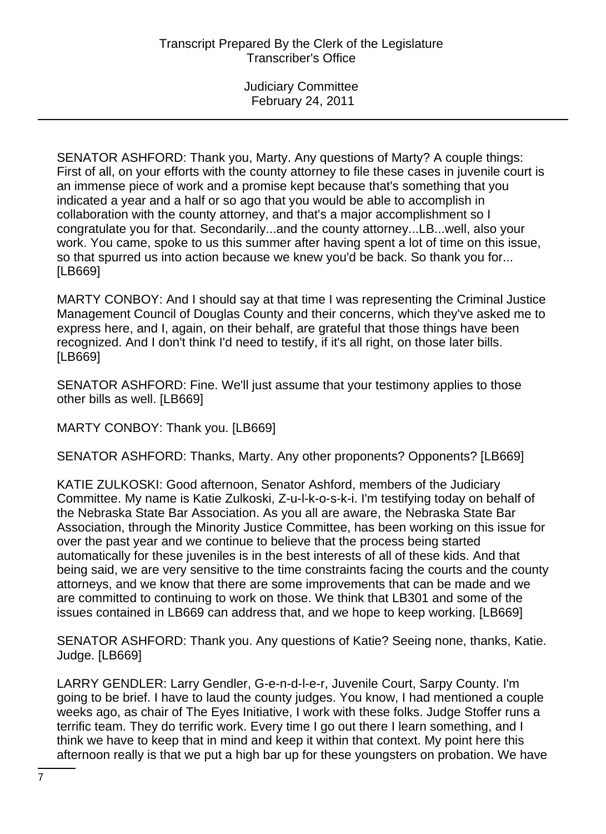SENATOR ASHFORD: Thank you, Marty. Any questions of Marty? A couple things: First of all, on your efforts with the county attorney to file these cases in juvenile court is an immense piece of work and a promise kept because that's something that you indicated a year and a half or so ago that you would be able to accomplish in collaboration with the county attorney, and that's a major accomplishment so I congratulate you for that. Secondarily...and the county attorney...LB...well, also your work. You came, spoke to us this summer after having spent a lot of time on this issue, so that spurred us into action because we knew you'd be back. So thank you for... [LB669]

MARTY CONBOY: And I should say at that time I was representing the Criminal Justice Management Council of Douglas County and their concerns, which they've asked me to express here, and I, again, on their behalf, are grateful that those things have been recognized. And I don't think I'd need to testify, if it's all right, on those later bills. [LB669]

SENATOR ASHFORD: Fine. We'll just assume that your testimony applies to those other bills as well. [LB669]

MARTY CONBOY: Thank you. [LB669]

SENATOR ASHFORD: Thanks, Marty. Any other proponents? Opponents? [LB669]

KATIE ZULKOSKI: Good afternoon, Senator Ashford, members of the Judiciary Committee. My name is Katie Zulkoski, Z-u-l-k-o-s-k-i. I'm testifying today on behalf of the Nebraska State Bar Association. As you all are aware, the Nebraska State Bar Association, through the Minority Justice Committee, has been working on this issue for over the past year and we continue to believe that the process being started automatically for these juveniles is in the best interests of all of these kids. And that being said, we are very sensitive to the time constraints facing the courts and the county attorneys, and we know that there are some improvements that can be made and we are committed to continuing to work on those. We think that LB301 and some of the issues contained in LB669 can address that, and we hope to keep working. [LB669]

SENATOR ASHFORD: Thank you. Any questions of Katie? Seeing none, thanks, Katie. Judge. [LB669]

LARRY GENDLER: Larry Gendler, G-e-n-d-l-e-r, Juvenile Court, Sarpy County. I'm going to be brief. I have to laud the county judges. You know, I had mentioned a couple weeks ago, as chair of The Eyes Initiative, I work with these folks. Judge Stoffer runs a terrific team. They do terrific work. Every time I go out there I learn something, and I think we have to keep that in mind and keep it within that context. My point here this afternoon really is that we put a high bar up for these youngsters on probation. We have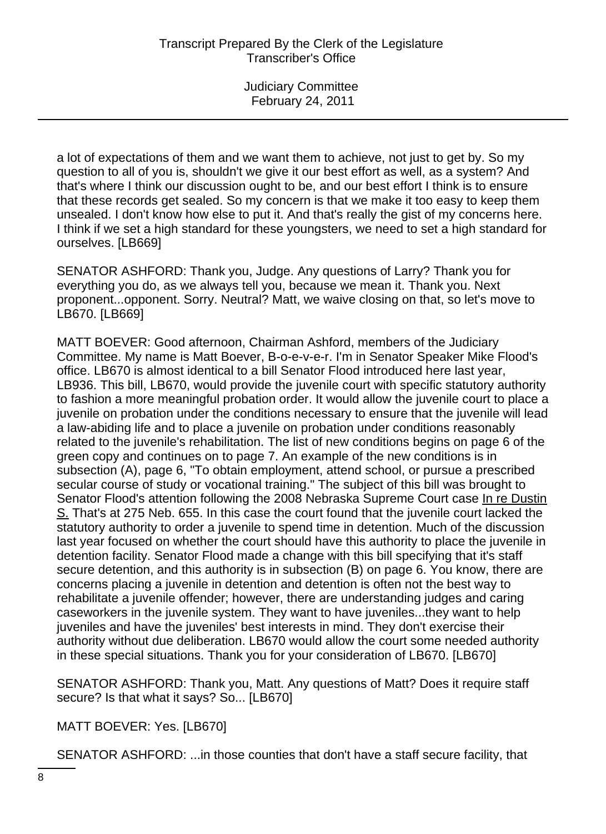a lot of expectations of them and we want them to achieve, not just to get by. So my question to all of you is, shouldn't we give it our best effort as well, as a system? And that's where I think our discussion ought to be, and our best effort I think is to ensure that these records get sealed. So my concern is that we make it too easy to keep them unsealed. I don't know how else to put it. And that's really the gist of my concerns here. I think if we set a high standard for these youngsters, we need to set a high standard for ourselves. [LB669]

SENATOR ASHFORD: Thank you, Judge. Any questions of Larry? Thank you for everything you do, as we always tell you, because we mean it. Thank you. Next proponent...opponent. Sorry. Neutral? Matt, we waive closing on that, so let's move to LB670. [LB669]

MATT BOEVER: Good afternoon, Chairman Ashford, members of the Judiciary Committee. My name is Matt Boever, B-o-e-v-e-r. I'm in Senator Speaker Mike Flood's office. LB670 is almost identical to a bill Senator Flood introduced here last year, LB936. This bill, LB670, would provide the juvenile court with specific statutory authority to fashion a more meaningful probation order. It would allow the juvenile court to place a juvenile on probation under the conditions necessary to ensure that the juvenile will lead a law-abiding life and to place a juvenile on probation under conditions reasonably related to the juvenile's rehabilitation. The list of new conditions begins on page 6 of the green copy and continues on to page 7. An example of the new conditions is in subsection (A), page 6, "To obtain employment, attend school, or pursue a prescribed secular course of study or vocational training." The subject of this bill was brought to Senator Flood's attention following the 2008 Nebraska Supreme Court case In re Dustin S. That's at 275 Neb. 655. In this case the court found that the juvenile court lacked the statutory authority to order a juvenile to spend time in detention. Much of the discussion last year focused on whether the court should have this authority to place the juvenile in detention facility. Senator Flood made a change with this bill specifying that it's staff secure detention, and this authority is in subsection (B) on page 6. You know, there are concerns placing a juvenile in detention and detention is often not the best way to rehabilitate a juvenile offender; however, there are understanding judges and caring caseworkers in the juvenile system. They want to have juveniles...they want to help juveniles and have the juveniles' best interests in mind. They don't exercise their authority without due deliberation. LB670 would allow the court some needed authority in these special situations. Thank you for your consideration of LB670. [LB670]

SENATOR ASHFORD: Thank you, Matt. Any questions of Matt? Does it require staff secure? Is that what it says? So... [LB670]

MATT BOEVER: Yes. [LB670]

SENATOR ASHFORD: ...in those counties that don't have a staff secure facility, that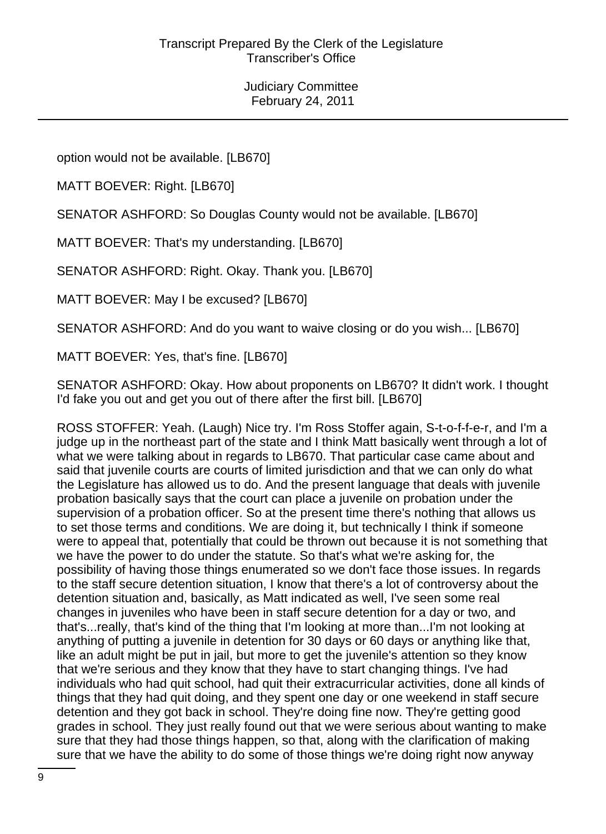option would not be available. [LB670]

MATT BOEVER: Right. [LB670]

SENATOR ASHFORD: So Douglas County would not be available. [LB670]

MATT BOEVER: That's my understanding. [LB670]

SENATOR ASHFORD: Right. Okay. Thank you. [LB670]

MATT BOEVER: May I be excused? [LB670]

SENATOR ASHFORD: And do you want to waive closing or do you wish... [LB670]

MATT BOEVER: Yes, that's fine. [LB670]

SENATOR ASHFORD: Okay. How about proponents on LB670? It didn't work. I thought I'd fake you out and get you out of there after the first bill. [LB670]

ROSS STOFFER: Yeah. (Laugh) Nice try. I'm Ross Stoffer again, S-t-o-f-f-e-r, and I'm a judge up in the northeast part of the state and I think Matt basically went through a lot of what we were talking about in regards to LB670. That particular case came about and said that juvenile courts are courts of limited jurisdiction and that we can only do what the Legislature has allowed us to do. And the present language that deals with juvenile probation basically says that the court can place a juvenile on probation under the supervision of a probation officer. So at the present time there's nothing that allows us to set those terms and conditions. We are doing it, but technically I think if someone were to appeal that, potentially that could be thrown out because it is not something that we have the power to do under the statute. So that's what we're asking for, the possibility of having those things enumerated so we don't face those issues. In regards to the staff secure detention situation, I know that there's a lot of controversy about the detention situation and, basically, as Matt indicated as well, I've seen some real changes in juveniles who have been in staff secure detention for a day or two, and that's...really, that's kind of the thing that I'm looking at more than...I'm not looking at anything of putting a juvenile in detention for 30 days or 60 days or anything like that, like an adult might be put in jail, but more to get the juvenile's attention so they know that we're serious and they know that they have to start changing things. I've had individuals who had quit school, had quit their extracurricular activities, done all kinds of things that they had quit doing, and they spent one day or one weekend in staff secure detention and they got back in school. They're doing fine now. They're getting good grades in school. They just really found out that we were serious about wanting to make sure that they had those things happen, so that, along with the clarification of making sure that we have the ability to do some of those things we're doing right now anyway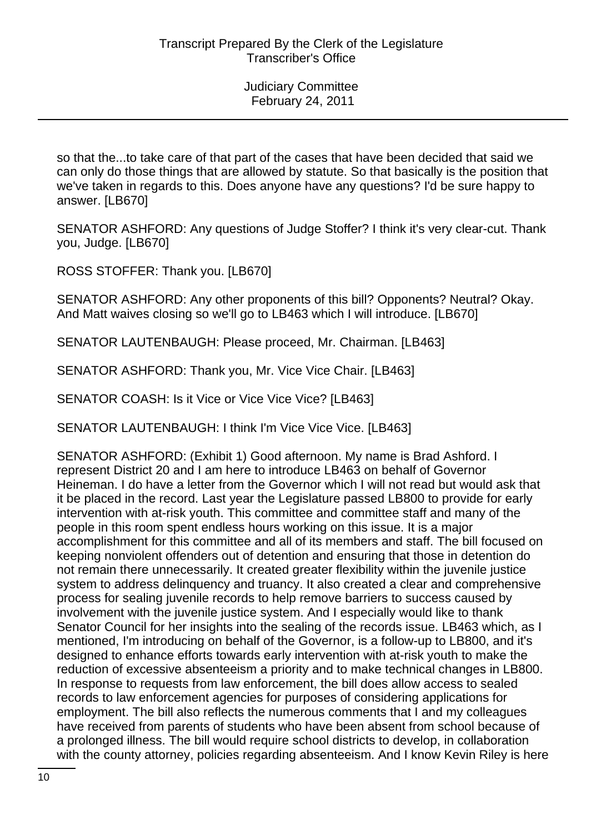so that the...to take care of that part of the cases that have been decided that said we can only do those things that are allowed by statute. So that basically is the position that we've taken in regards to this. Does anyone have any questions? I'd be sure happy to answer. [LB670]

SENATOR ASHFORD: Any questions of Judge Stoffer? I think it's very clear-cut. Thank you, Judge. [LB670]

ROSS STOFFER: Thank you. [LB670]

SENATOR ASHFORD: Any other proponents of this bill? Opponents? Neutral? Okay. And Matt waives closing so we'll go to LB463 which I will introduce. [LB670]

SENATOR LAUTENBAUGH: Please proceed, Mr. Chairman. [LB463]

SENATOR ASHFORD: Thank you, Mr. Vice Vice Chair. [LB463]

SENATOR COASH: Is it Vice or Vice Vice Vice? [LB463]

SENATOR LAUTENBAUGH: I think I'm Vice Vice Vice. [LB463]

SENATOR ASHFORD: (Exhibit 1) Good afternoon. My name is Brad Ashford. I represent District 20 and I am here to introduce LB463 on behalf of Governor Heineman. I do have a letter from the Governor which I will not read but would ask that it be placed in the record. Last year the Legislature passed LB800 to provide for early intervention with at-risk youth. This committee and committee staff and many of the people in this room spent endless hours working on this issue. It is a major accomplishment for this committee and all of its members and staff. The bill focused on keeping nonviolent offenders out of detention and ensuring that those in detention do not remain there unnecessarily. It created greater flexibility within the juvenile justice system to address delinquency and truancy. It also created a clear and comprehensive process for sealing juvenile records to help remove barriers to success caused by involvement with the juvenile justice system. And I especially would like to thank Senator Council for her insights into the sealing of the records issue. LB463 which, as I mentioned, I'm introducing on behalf of the Governor, is a follow-up to LB800, and it's designed to enhance efforts towards early intervention with at-risk youth to make the reduction of excessive absenteeism a priority and to make technical changes in LB800. In response to requests from law enforcement, the bill does allow access to sealed records to law enforcement agencies for purposes of considering applications for employment. The bill also reflects the numerous comments that I and my colleagues have received from parents of students who have been absent from school because of a prolonged illness. The bill would require school districts to develop, in collaboration with the county attorney, policies regarding absenteeism. And I know Kevin Riley is here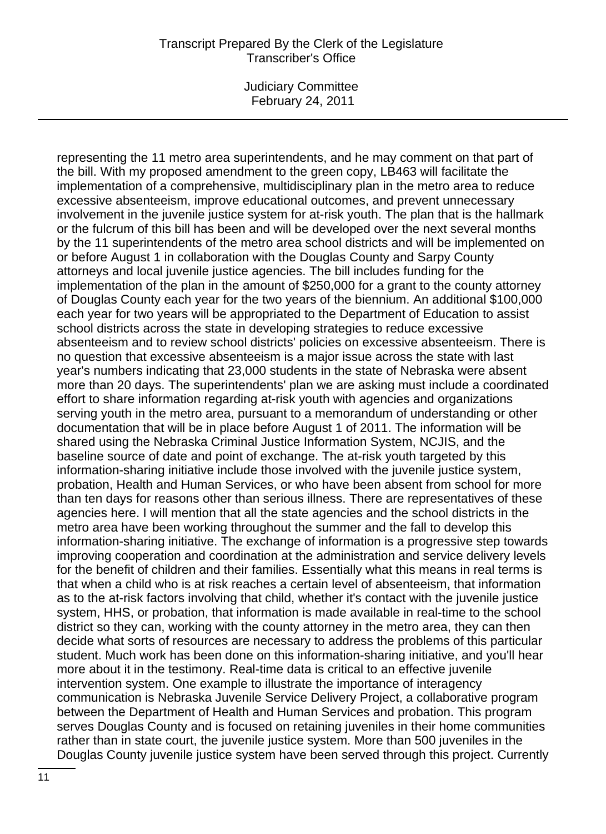Judiciary Committee February 24, 2011

representing the 11 metro area superintendents, and he may comment on that part of the bill. With my proposed amendment to the green copy, LB463 will facilitate the implementation of a comprehensive, multidisciplinary plan in the metro area to reduce excessive absenteeism, improve educational outcomes, and prevent unnecessary involvement in the juvenile justice system for at-risk youth. The plan that is the hallmark or the fulcrum of this bill has been and will be developed over the next several months by the 11 superintendents of the metro area school districts and will be implemented on or before August 1 in collaboration with the Douglas County and Sarpy County attorneys and local juvenile justice agencies. The bill includes funding for the implementation of the plan in the amount of \$250,000 for a grant to the county attorney of Douglas County each year for the two years of the biennium. An additional \$100,000 each year for two years will be appropriated to the Department of Education to assist school districts across the state in developing strategies to reduce excessive absenteeism and to review school districts' policies on excessive absenteeism. There is no question that excessive absenteeism is a major issue across the state with last year's numbers indicating that 23,000 students in the state of Nebraska were absent more than 20 days. The superintendents' plan we are asking must include a coordinated effort to share information regarding at-risk youth with agencies and organizations serving youth in the metro area, pursuant to a memorandum of understanding or other documentation that will be in place before August 1 of 2011. The information will be shared using the Nebraska Criminal Justice Information System, NCJIS, and the baseline source of date and point of exchange. The at-risk youth targeted by this information-sharing initiative include those involved with the juvenile justice system, probation, Health and Human Services, or who have been absent from school for more than ten days for reasons other than serious illness. There are representatives of these agencies here. I will mention that all the state agencies and the school districts in the metro area have been working throughout the summer and the fall to develop this information-sharing initiative. The exchange of information is a progressive step towards improving cooperation and coordination at the administration and service delivery levels for the benefit of children and their families. Essentially what this means in real terms is that when a child who is at risk reaches a certain level of absenteeism, that information as to the at-risk factors involving that child, whether it's contact with the juvenile justice system, HHS, or probation, that information is made available in real-time to the school district so they can, working with the county attorney in the metro area, they can then decide what sorts of resources are necessary to address the problems of this particular student. Much work has been done on this information-sharing initiative, and you'll hear more about it in the testimony. Real-time data is critical to an effective juvenile intervention system. One example to illustrate the importance of interagency communication is Nebraska Juvenile Service Delivery Project, a collaborative program between the Department of Health and Human Services and probation. This program serves Douglas County and is focused on retaining juveniles in their home communities rather than in state court, the juvenile justice system. More than 500 juveniles in the Douglas County juvenile justice system have been served through this project. Currently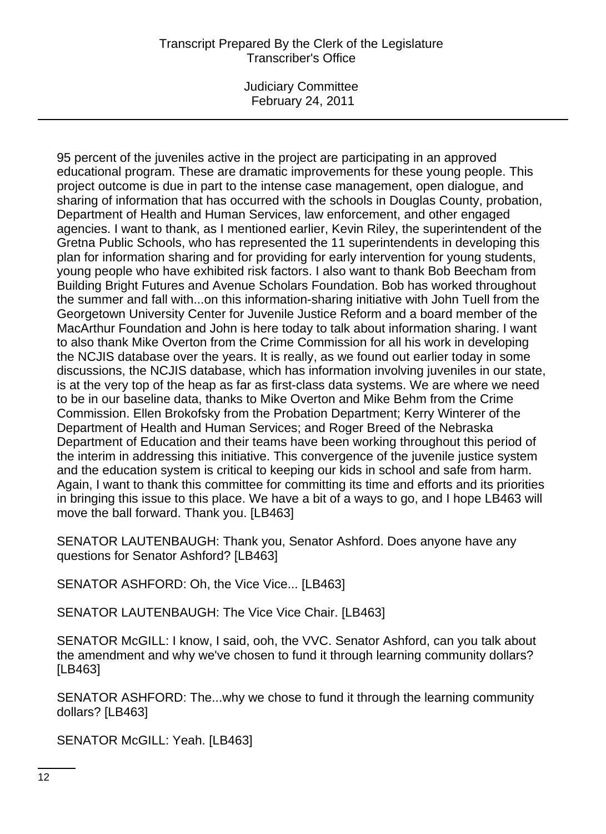Judiciary Committee February 24, 2011

95 percent of the juveniles active in the project are participating in an approved educational program. These are dramatic improvements for these young people. This project outcome is due in part to the intense case management, open dialogue, and sharing of information that has occurred with the schools in Douglas County, probation, Department of Health and Human Services, law enforcement, and other engaged agencies. I want to thank, as I mentioned earlier, Kevin Riley, the superintendent of the Gretna Public Schools, who has represented the 11 superintendents in developing this plan for information sharing and for providing for early intervention for young students, young people who have exhibited risk factors. I also want to thank Bob Beecham from Building Bright Futures and Avenue Scholars Foundation. Bob has worked throughout the summer and fall with...on this information-sharing initiative with John Tuell from the Georgetown University Center for Juvenile Justice Reform and a board member of the MacArthur Foundation and John is here today to talk about information sharing. I want to also thank Mike Overton from the Crime Commission for all his work in developing the NCJIS database over the years. It is really, as we found out earlier today in some discussions, the NCJIS database, which has information involving juveniles in our state, is at the very top of the heap as far as first-class data systems. We are where we need to be in our baseline data, thanks to Mike Overton and Mike Behm from the Crime Commission. Ellen Brokofsky from the Probation Department; Kerry Winterer of the Department of Health and Human Services; and Roger Breed of the Nebraska Department of Education and their teams have been working throughout this period of the interim in addressing this initiative. This convergence of the juvenile justice system and the education system is critical to keeping our kids in school and safe from harm. Again, I want to thank this committee for committing its time and efforts and its priorities in bringing this issue to this place. We have a bit of a ways to go, and I hope LB463 will move the ball forward. Thank you. [LB463]

SENATOR LAUTENBAUGH: Thank you, Senator Ashford. Does anyone have any questions for Senator Ashford? [LB463]

SENATOR ASHFORD: Oh, the Vice Vice... [LB463]

SENATOR LAUTENBAUGH: The Vice Vice Chair. [LB463]

SENATOR McGILL: I know, I said, ooh, the VVC. Senator Ashford, can you talk about the amendment and why we've chosen to fund it through learning community dollars? [LB463]

SENATOR ASHFORD: The...why we chose to fund it through the learning community dollars? [LB463]

SENATOR McGILL: Yeah. [LB463]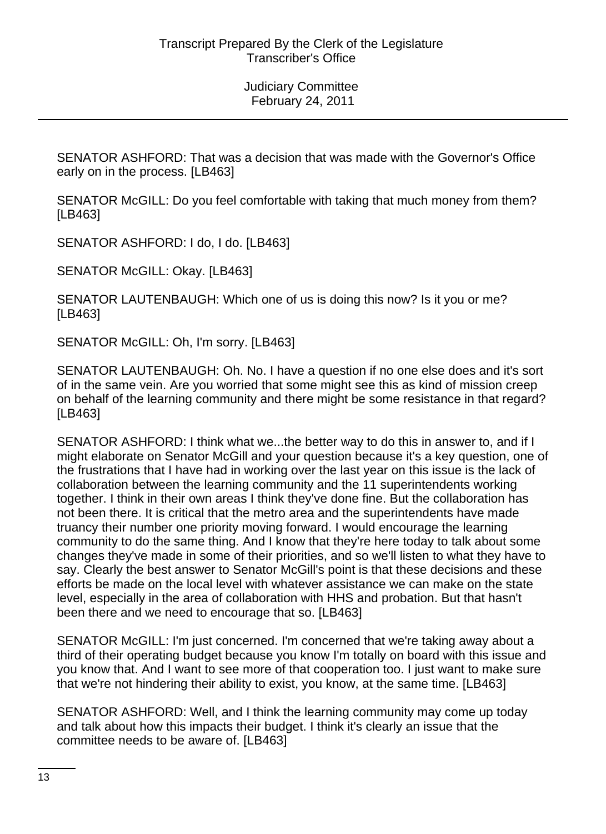SENATOR ASHFORD: That was a decision that was made with the Governor's Office early on in the process. [LB463]

SENATOR McGILL: Do you feel comfortable with taking that much money from them? [LB463]

SENATOR ASHFORD: I do, I do. [LB463]

SENATOR McGILL: Okay. [LB463]

SENATOR LAUTENBAUGH: Which one of us is doing this now? Is it you or me? [LB463]

SENATOR McGILL: Oh, I'm sorry. [LB463]

SENATOR LAUTENBAUGH: Oh. No. I have a question if no one else does and it's sort of in the same vein. Are you worried that some might see this as kind of mission creep on behalf of the learning community and there might be some resistance in that regard? [LB463]

SENATOR ASHFORD: I think what we...the better way to do this in answer to, and if I might elaborate on Senator McGill and your question because it's a key question, one of the frustrations that I have had in working over the last year on this issue is the lack of collaboration between the learning community and the 11 superintendents working together. I think in their own areas I think they've done fine. But the collaboration has not been there. It is critical that the metro area and the superintendents have made truancy their number one priority moving forward. I would encourage the learning community to do the same thing. And I know that they're here today to talk about some changes they've made in some of their priorities, and so we'll listen to what they have to say. Clearly the best answer to Senator McGill's point is that these decisions and these efforts be made on the local level with whatever assistance we can make on the state level, especially in the area of collaboration with HHS and probation. But that hasn't been there and we need to encourage that so. [LB463]

SENATOR McGILL: I'm just concerned. I'm concerned that we're taking away about a third of their operating budget because you know I'm totally on board with this issue and you know that. And I want to see more of that cooperation too. I just want to make sure that we're not hindering their ability to exist, you know, at the same time. [LB463]

SENATOR ASHFORD: Well, and I think the learning community may come up today and talk about how this impacts their budget. I think it's clearly an issue that the committee needs to be aware of. [LB463]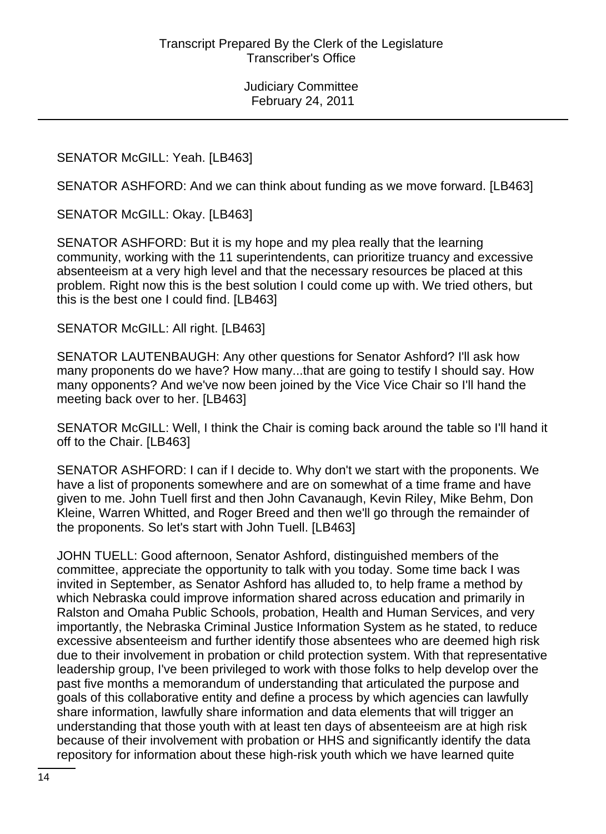#### SENATOR McGILL: Yeah. [LB463]

SENATOR ASHFORD: And we can think about funding as we move forward. [LB463]

SENATOR McGILL: Okay. [LB463]

SENATOR ASHFORD: But it is my hope and my plea really that the learning community, working with the 11 superintendents, can prioritize truancy and excessive absenteeism at a very high level and that the necessary resources be placed at this problem. Right now this is the best solution I could come up with. We tried others, but this is the best one I could find. [LB463]

SENATOR McGILL: All right. [LB463]

SENATOR LAUTENBAUGH: Any other questions for Senator Ashford? I'll ask how many proponents do we have? How many...that are going to testify I should say. How many opponents? And we've now been joined by the Vice Vice Chair so I'll hand the meeting back over to her. [LB463]

SENATOR McGILL: Well, I think the Chair is coming back around the table so I'll hand it off to the Chair. [LB463]

SENATOR ASHFORD: I can if I decide to. Why don't we start with the proponents. We have a list of proponents somewhere and are on somewhat of a time frame and have given to me. John Tuell first and then John Cavanaugh, Kevin Riley, Mike Behm, Don Kleine, Warren Whitted, and Roger Breed and then we'll go through the remainder of the proponents. So let's start with John Tuell. [LB463]

JOHN TUELL: Good afternoon, Senator Ashford, distinguished members of the committee, appreciate the opportunity to talk with you today. Some time back I was invited in September, as Senator Ashford has alluded to, to help frame a method by which Nebraska could improve information shared across education and primarily in Ralston and Omaha Public Schools, probation, Health and Human Services, and very importantly, the Nebraska Criminal Justice Information System as he stated, to reduce excessive absenteeism and further identify those absentees who are deemed high risk due to their involvement in probation or child protection system. With that representative leadership group, I've been privileged to work with those folks to help develop over the past five months a memorandum of understanding that articulated the purpose and goals of this collaborative entity and define a process by which agencies can lawfully share information, lawfully share information and data elements that will trigger an understanding that those youth with at least ten days of absenteeism are at high risk because of their involvement with probation or HHS and significantly identify the data repository for information about these high-risk youth which we have learned quite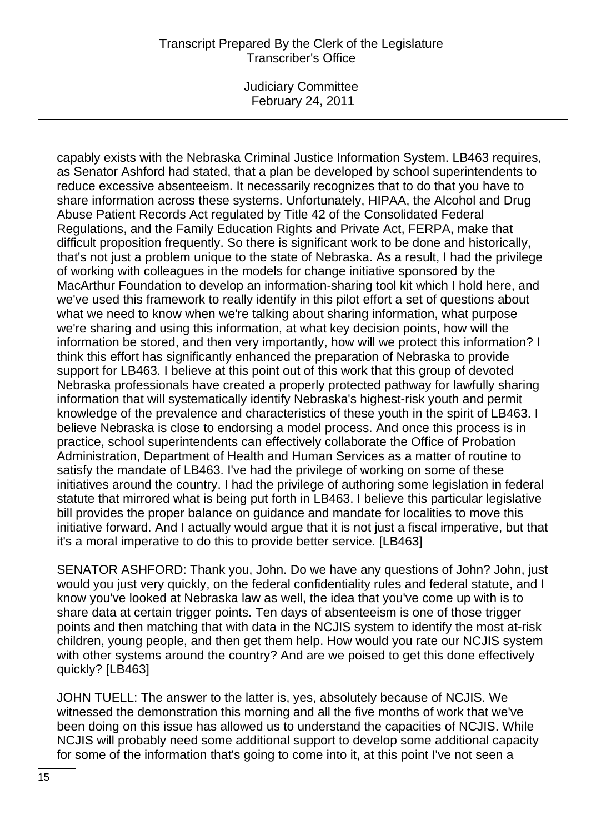Judiciary Committee February 24, 2011

capably exists with the Nebraska Criminal Justice Information System. LB463 requires, as Senator Ashford had stated, that a plan be developed by school superintendents to reduce excessive absenteeism. It necessarily recognizes that to do that you have to share information across these systems. Unfortunately, HIPAA, the Alcohol and Drug Abuse Patient Records Act regulated by Title 42 of the Consolidated Federal Regulations, and the Family Education Rights and Private Act, FERPA, make that difficult proposition frequently. So there is significant work to be done and historically, that's not just a problem unique to the state of Nebraska. As a result, I had the privilege of working with colleagues in the models for change initiative sponsored by the MacArthur Foundation to develop an information-sharing tool kit which I hold here, and we've used this framework to really identify in this pilot effort a set of questions about what we need to know when we're talking about sharing information, what purpose we're sharing and using this information, at what key decision points, how will the information be stored, and then very importantly, how will we protect this information? I think this effort has significantly enhanced the preparation of Nebraska to provide support for LB463. I believe at this point out of this work that this group of devoted Nebraska professionals have created a properly protected pathway for lawfully sharing information that will systematically identify Nebraska's highest-risk youth and permit knowledge of the prevalence and characteristics of these youth in the spirit of LB463. I believe Nebraska is close to endorsing a model process. And once this process is in practice, school superintendents can effectively collaborate the Office of Probation Administration, Department of Health and Human Services as a matter of routine to satisfy the mandate of LB463. I've had the privilege of working on some of these initiatives around the country. I had the privilege of authoring some legislation in federal statute that mirrored what is being put forth in LB463. I believe this particular legislative bill provides the proper balance on guidance and mandate for localities to move this initiative forward. And I actually would argue that it is not just a fiscal imperative, but that it's a moral imperative to do this to provide better service. [LB463]

SENATOR ASHFORD: Thank you, John. Do we have any questions of John? John, just would you just very quickly, on the federal confidentiality rules and federal statute, and I know you've looked at Nebraska law as well, the idea that you've come up with is to share data at certain trigger points. Ten days of absenteeism is one of those trigger points and then matching that with data in the NCJIS system to identify the most at-risk children, young people, and then get them help. How would you rate our NCJIS system with other systems around the country? And are we poised to get this done effectively quickly? [LB463]

JOHN TUELL: The answer to the latter is, yes, absolutely because of NCJIS. We witnessed the demonstration this morning and all the five months of work that we've been doing on this issue has allowed us to understand the capacities of NCJIS. While NCJIS will probably need some additional support to develop some additional capacity for some of the information that's going to come into it, at this point I've not seen a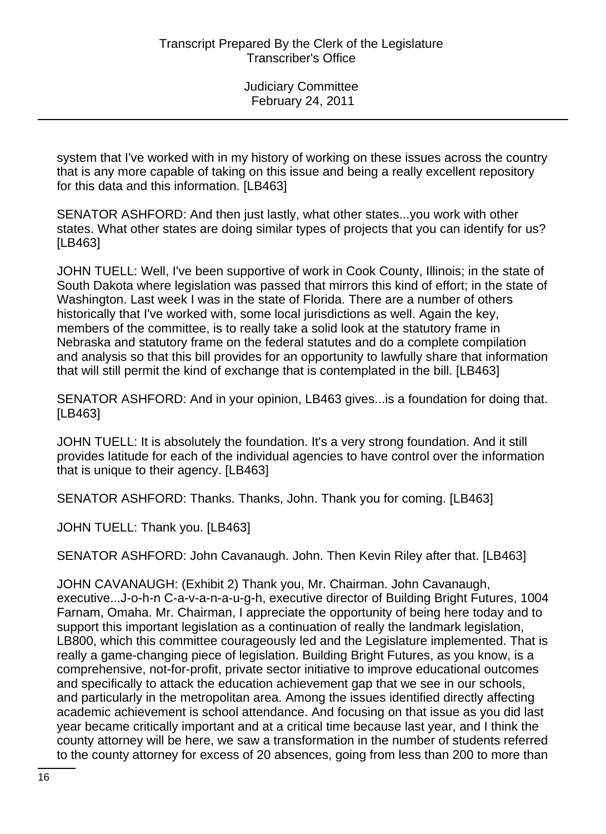system that I've worked with in my history of working on these issues across the country that is any more capable of taking on this issue and being a really excellent repository for this data and this information. [LB463]

SENATOR ASHFORD: And then just lastly, what other states...you work with other states. What other states are doing similar types of projects that you can identify for us? [LB463]

JOHN TUELL: Well, I've been supportive of work in Cook County, Illinois; in the state of South Dakota where legislation was passed that mirrors this kind of effort; in the state of Washington. Last week I was in the state of Florida. There are a number of others historically that I've worked with, some local jurisdictions as well. Again the key, members of the committee, is to really take a solid look at the statutory frame in Nebraska and statutory frame on the federal statutes and do a complete compilation and analysis so that this bill provides for an opportunity to lawfully share that information that will still permit the kind of exchange that is contemplated in the bill. [LB463]

SENATOR ASHFORD: And in your opinion, LB463 gives...is a foundation for doing that. [LB463]

JOHN TUELL: It is absolutely the foundation. It's a very strong foundation. And it still provides latitude for each of the individual agencies to have control over the information that is unique to their agency. [LB463]

SENATOR ASHFORD: Thanks. Thanks, John. Thank you for coming. [LB463]

JOHN TUELL: Thank you. [LB463]

SENATOR ASHFORD: John Cavanaugh. John. Then Kevin Riley after that. [LB463]

JOHN CAVANAUGH: (Exhibit 2) Thank you, Mr. Chairman. John Cavanaugh, executive...J-o-h-n C-a-v-a-n-a-u-g-h, executive director of Building Bright Futures, 1004 Farnam, Omaha. Mr. Chairman, I appreciate the opportunity of being here today and to support this important legislation as a continuation of really the landmark legislation, LB800, which this committee courageously led and the Legislature implemented. That is really a game-changing piece of legislation. Building Bright Futures, as you know, is a comprehensive, not-for-profit, private sector initiative to improve educational outcomes and specifically to attack the education achievement gap that we see in our schools, and particularly in the metropolitan area. Among the issues identified directly affecting academic achievement is school attendance. And focusing on that issue as you did last year became critically important and at a critical time because last year, and I think the county attorney will be here, we saw a transformation in the number of students referred to the county attorney for excess of 20 absences, going from less than 200 to more than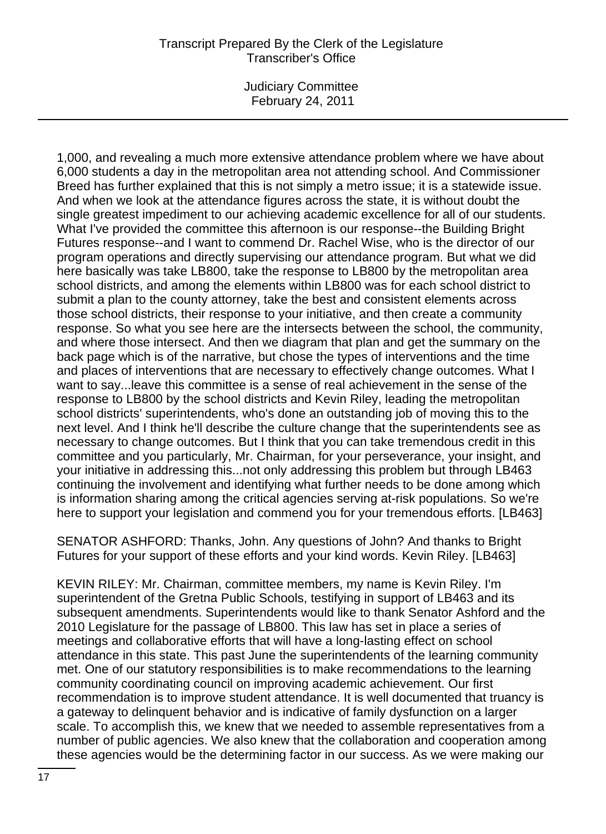Judiciary Committee February 24, 2011

1,000, and revealing a much more extensive attendance problem where we have about 6,000 students a day in the metropolitan area not attending school. And Commissioner Breed has further explained that this is not simply a metro issue; it is a statewide issue. And when we look at the attendance figures across the state, it is without doubt the single greatest impediment to our achieving academic excellence for all of our students. What I've provided the committee this afternoon is our response--the Building Bright Futures response--and I want to commend Dr. Rachel Wise, who is the director of our program operations and directly supervising our attendance program. But what we did here basically was take LB800, take the response to LB800 by the metropolitan area school districts, and among the elements within LB800 was for each school district to submit a plan to the county attorney, take the best and consistent elements across those school districts, their response to your initiative, and then create a community response. So what you see here are the intersects between the school, the community, and where those intersect. And then we diagram that plan and get the summary on the back page which is of the narrative, but chose the types of interventions and the time and places of interventions that are necessary to effectively change outcomes. What I want to say...leave this committee is a sense of real achievement in the sense of the response to LB800 by the school districts and Kevin Riley, leading the metropolitan school districts' superintendents, who's done an outstanding job of moving this to the next level. And I think he'll describe the culture change that the superintendents see as necessary to change outcomes. But I think that you can take tremendous credit in this committee and you particularly, Mr. Chairman, for your perseverance, your insight, and your initiative in addressing this...not only addressing this problem but through LB463 continuing the involvement and identifying what further needs to be done among which is information sharing among the critical agencies serving at-risk populations. So we're here to support your legislation and commend you for your tremendous efforts. [LB463]

SENATOR ASHFORD: Thanks, John. Any questions of John? And thanks to Bright Futures for your support of these efforts and your kind words. Kevin Riley. [LB463]

KEVIN RILEY: Mr. Chairman, committee members, my name is Kevin Riley. I'm superintendent of the Gretna Public Schools, testifying in support of LB463 and its subsequent amendments. Superintendents would like to thank Senator Ashford and the 2010 Legislature for the passage of LB800. This law has set in place a series of meetings and collaborative efforts that will have a long-lasting effect on school attendance in this state. This past June the superintendents of the learning community met. One of our statutory responsibilities is to make recommendations to the learning community coordinating council on improving academic achievement. Our first recommendation is to improve student attendance. It is well documented that truancy is a gateway to delinquent behavior and is indicative of family dysfunction on a larger scale. To accomplish this, we knew that we needed to assemble representatives from a number of public agencies. We also knew that the collaboration and cooperation among these agencies would be the determining factor in our success. As we were making our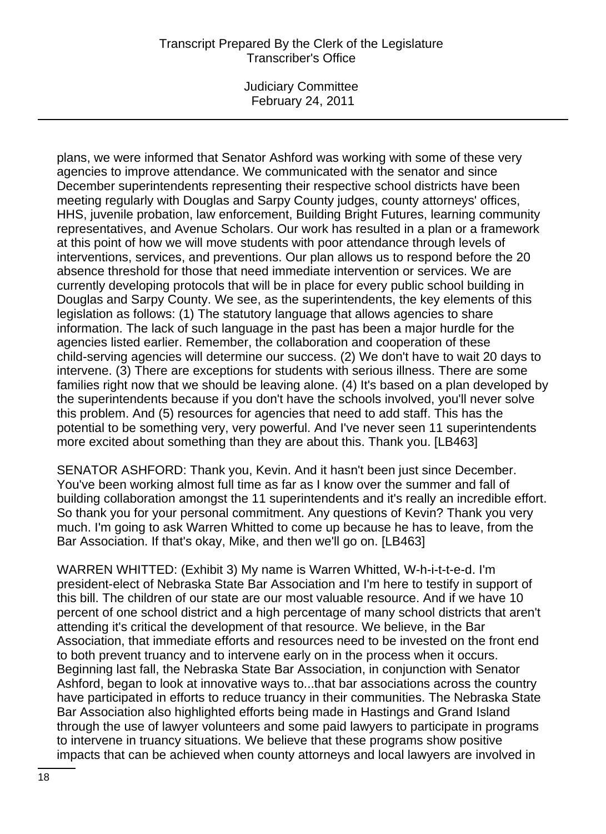Judiciary Committee February 24, 2011

plans, we were informed that Senator Ashford was working with some of these very agencies to improve attendance. We communicated with the senator and since December superintendents representing their respective school districts have been meeting regularly with Douglas and Sarpy County judges, county attorneys' offices, HHS, juvenile probation, law enforcement, Building Bright Futures, learning community representatives, and Avenue Scholars. Our work has resulted in a plan or a framework at this point of how we will move students with poor attendance through levels of interventions, services, and preventions. Our plan allows us to respond before the 20 absence threshold for those that need immediate intervention or services. We are currently developing protocols that will be in place for every public school building in Douglas and Sarpy County. We see, as the superintendents, the key elements of this legislation as follows: (1) The statutory language that allows agencies to share information. The lack of such language in the past has been a major hurdle for the agencies listed earlier. Remember, the collaboration and cooperation of these child-serving agencies will determine our success. (2) We don't have to wait 20 days to intervene. (3) There are exceptions for students with serious illness. There are some families right now that we should be leaving alone. (4) It's based on a plan developed by the superintendents because if you don't have the schools involved, you'll never solve this problem. And (5) resources for agencies that need to add staff. This has the potential to be something very, very powerful. And I've never seen 11 superintendents more excited about something than they are about this. Thank you. [LB463]

SENATOR ASHFORD: Thank you, Kevin. And it hasn't been just since December. You've been working almost full time as far as I know over the summer and fall of building collaboration amongst the 11 superintendents and it's really an incredible effort. So thank you for your personal commitment. Any questions of Kevin? Thank you very much. I'm going to ask Warren Whitted to come up because he has to leave, from the Bar Association. If that's okay, Mike, and then we'll go on. [LB463]

WARREN WHITTED: (Exhibit 3) My name is Warren Whitted, W-h-i-t-t-e-d. I'm president-elect of Nebraska State Bar Association and I'm here to testify in support of this bill. The children of our state are our most valuable resource. And if we have 10 percent of one school district and a high percentage of many school districts that aren't attending it's critical the development of that resource. We believe, in the Bar Association, that immediate efforts and resources need to be invested on the front end to both prevent truancy and to intervene early on in the process when it occurs. Beginning last fall, the Nebraska State Bar Association, in conjunction with Senator Ashford, began to look at innovative ways to...that bar associations across the country have participated in efforts to reduce truancy in their communities. The Nebraska State Bar Association also highlighted efforts being made in Hastings and Grand Island through the use of lawyer volunteers and some paid lawyers to participate in programs to intervene in truancy situations. We believe that these programs show positive impacts that can be achieved when county attorneys and local lawyers are involved in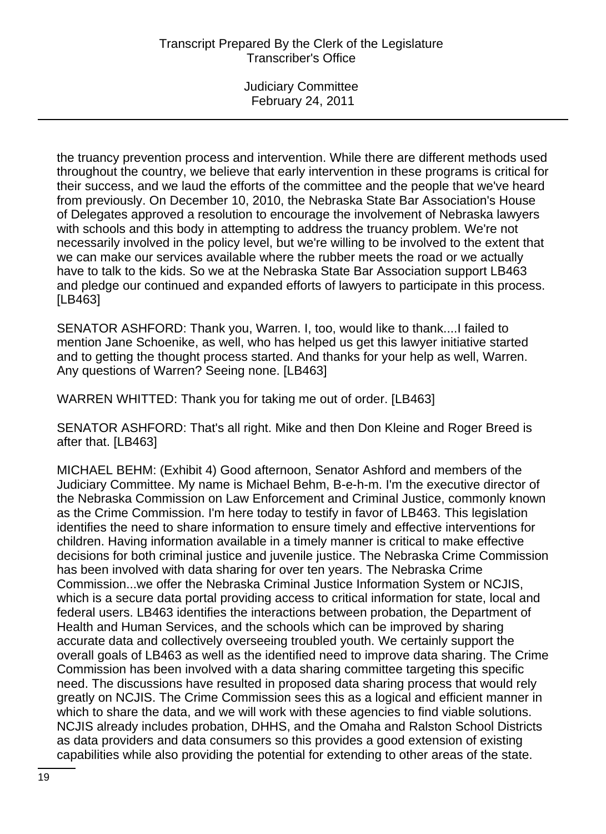the truancy prevention process and intervention. While there are different methods used throughout the country, we believe that early intervention in these programs is critical for their success, and we laud the efforts of the committee and the people that we've heard from previously. On December 10, 2010, the Nebraska State Bar Association's House of Delegates approved a resolution to encourage the involvement of Nebraska lawyers with schools and this body in attempting to address the truancy problem. We're not necessarily involved in the policy level, but we're willing to be involved to the extent that we can make our services available where the rubber meets the road or we actually have to talk to the kids. So we at the Nebraska State Bar Association support LB463 and pledge our continued and expanded efforts of lawyers to participate in this process. [LB463]

SENATOR ASHFORD: Thank you, Warren. I, too, would like to thank....I failed to mention Jane Schoenike, as well, who has helped us get this lawyer initiative started and to getting the thought process started. And thanks for your help as well, Warren. Any questions of Warren? Seeing none. [LB463]

WARREN WHITTED: Thank you for taking me out of order. [LB463]

SENATOR ASHFORD: That's all right. Mike and then Don Kleine and Roger Breed is after that. [LB463]

MICHAEL BEHM: (Exhibit 4) Good afternoon, Senator Ashford and members of the Judiciary Committee. My name is Michael Behm, B-e-h-m. I'm the executive director of the Nebraska Commission on Law Enforcement and Criminal Justice, commonly known as the Crime Commission. I'm here today to testify in favor of LB463. This legislation identifies the need to share information to ensure timely and effective interventions for children. Having information available in a timely manner is critical to make effective decisions for both criminal justice and juvenile justice. The Nebraska Crime Commission has been involved with data sharing for over ten years. The Nebraska Crime Commission...we offer the Nebraska Criminal Justice Information System or NCJIS, which is a secure data portal providing access to critical information for state, local and federal users. LB463 identifies the interactions between probation, the Department of Health and Human Services, and the schools which can be improved by sharing accurate data and collectively overseeing troubled youth. We certainly support the overall goals of LB463 as well as the identified need to improve data sharing. The Crime Commission has been involved with a data sharing committee targeting this specific need. The discussions have resulted in proposed data sharing process that would rely greatly on NCJIS. The Crime Commission sees this as a logical and efficient manner in which to share the data, and we will work with these agencies to find viable solutions. NCJIS already includes probation, DHHS, and the Omaha and Ralston School Districts as data providers and data consumers so this provides a good extension of existing capabilities while also providing the potential for extending to other areas of the state.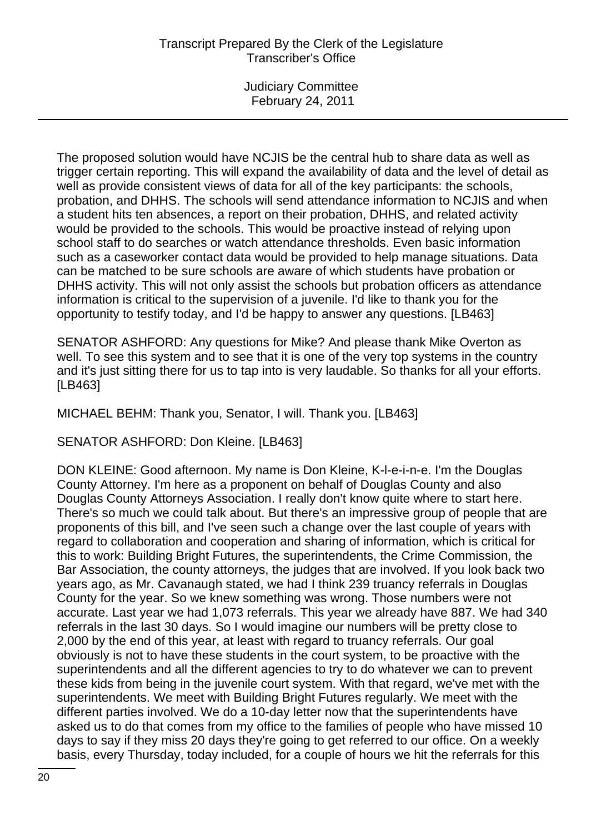Judiciary Committee February 24, 2011

The proposed solution would have NCJIS be the central hub to share data as well as trigger certain reporting. This will expand the availability of data and the level of detail as well as provide consistent views of data for all of the key participants: the schools, probation, and DHHS. The schools will send attendance information to NCJIS and when a student hits ten absences, a report on their probation, DHHS, and related activity would be provided to the schools. This would be proactive instead of relying upon school staff to do searches or watch attendance thresholds. Even basic information such as a caseworker contact data would be provided to help manage situations. Data can be matched to be sure schools are aware of which students have probation or DHHS activity. This will not only assist the schools but probation officers as attendance information is critical to the supervision of a juvenile. I'd like to thank you for the opportunity to testify today, and I'd be happy to answer any questions. [LB463]

SENATOR ASHFORD: Any questions for Mike? And please thank Mike Overton as well. To see this system and to see that it is one of the very top systems in the country and it's just sitting there for us to tap into is very laudable. So thanks for all your efforts. [LB463]

MICHAEL BEHM: Thank you, Senator, I will. Thank you. [LB463]

SENATOR ASHFORD: Don Kleine. [LB463]

DON KLEINE: Good afternoon. My name is Don Kleine, K-l-e-i-n-e. I'm the Douglas County Attorney. I'm here as a proponent on behalf of Douglas County and also Douglas County Attorneys Association. I really don't know quite where to start here. There's so much we could talk about. But there's an impressive group of people that are proponents of this bill, and I've seen such a change over the last couple of years with regard to collaboration and cooperation and sharing of information, which is critical for this to work: Building Bright Futures, the superintendents, the Crime Commission, the Bar Association, the county attorneys, the judges that are involved. If you look back two years ago, as Mr. Cavanaugh stated, we had I think 239 truancy referrals in Douglas County for the year. So we knew something was wrong. Those numbers were not accurate. Last year we had 1,073 referrals. This year we already have 887. We had 340 referrals in the last 30 days. So I would imagine our numbers will be pretty close to 2,000 by the end of this year, at least with regard to truancy referrals. Our goal obviously is not to have these students in the court system, to be proactive with the superintendents and all the different agencies to try to do whatever we can to prevent these kids from being in the juvenile court system. With that regard, we've met with the superintendents. We meet with Building Bright Futures regularly. We meet with the different parties involved. We do a 10-day letter now that the superintendents have asked us to do that comes from my office to the families of people who have missed 10 days to say if they miss 20 days they're going to get referred to our office. On a weekly basis, every Thursday, today included, for a couple of hours we hit the referrals for this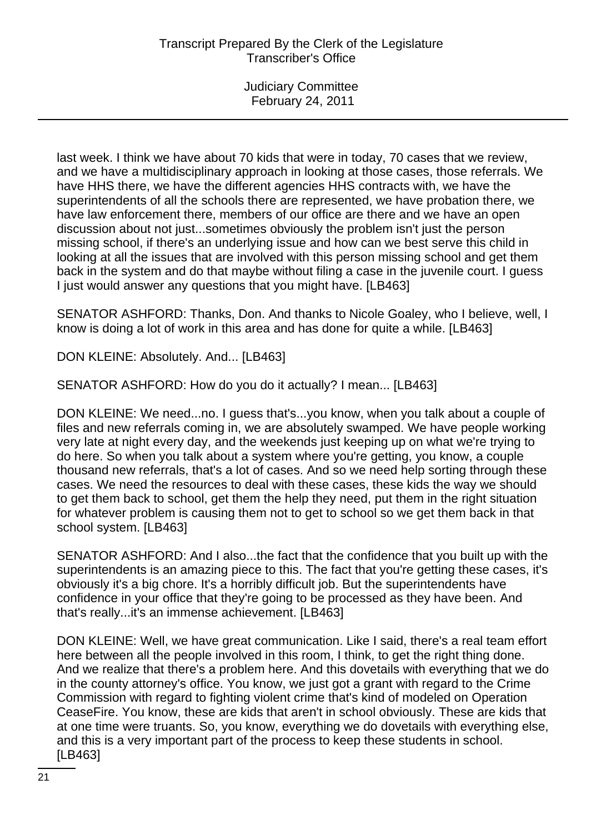last week. I think we have about 70 kids that were in today, 70 cases that we review, and we have a multidisciplinary approach in looking at those cases, those referrals. We have HHS there, we have the different agencies HHS contracts with, we have the superintendents of all the schools there are represented, we have probation there, we have law enforcement there, members of our office are there and we have an open discussion about not just...sometimes obviously the problem isn't just the person missing school, if there's an underlying issue and how can we best serve this child in looking at all the issues that are involved with this person missing school and get them back in the system and do that maybe without filing a case in the juvenile court. I guess I just would answer any questions that you might have. [LB463]

SENATOR ASHFORD: Thanks, Don. And thanks to Nicole Goaley, who I believe, well, I know is doing a lot of work in this area and has done for quite a while. [LB463]

DON KLEINE: Absolutely. And... [LB463]

SENATOR ASHFORD: How do you do it actually? I mean... [LB463]

DON KLEINE: We need...no. I guess that's...you know, when you talk about a couple of files and new referrals coming in, we are absolutely swamped. We have people working very late at night every day, and the weekends just keeping up on what we're trying to do here. So when you talk about a system where you're getting, you know, a couple thousand new referrals, that's a lot of cases. And so we need help sorting through these cases. We need the resources to deal with these cases, these kids the way we should to get them back to school, get them the help they need, put them in the right situation for whatever problem is causing them not to get to school so we get them back in that school system. [LB463]

SENATOR ASHFORD: And I also...the fact that the confidence that you built up with the superintendents is an amazing piece to this. The fact that you're getting these cases, it's obviously it's a big chore. It's a horribly difficult job. But the superintendents have confidence in your office that they're going to be processed as they have been. And that's really...it's an immense achievement. [LB463]

DON KLEINE: Well, we have great communication. Like I said, there's a real team effort here between all the people involved in this room, I think, to get the right thing done. And we realize that there's a problem here. And this dovetails with everything that we do in the county attorney's office. You know, we just got a grant with regard to the Crime Commission with regard to fighting violent crime that's kind of modeled on Operation CeaseFire. You know, these are kids that aren't in school obviously. These are kids that at one time were truants. So, you know, everything we do dovetails with everything else, and this is a very important part of the process to keep these students in school. [LB463]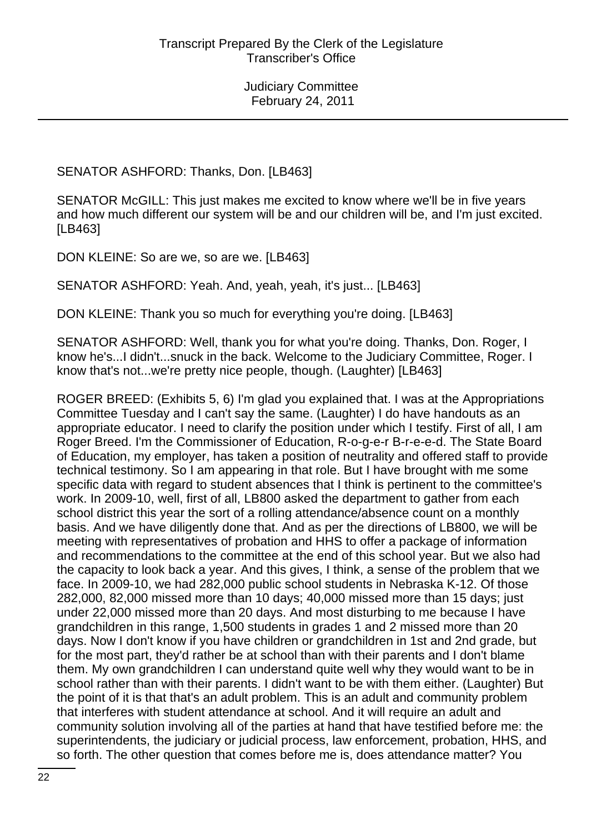SENATOR ASHFORD: Thanks, Don. [LB463]

SENATOR McGILL: This just makes me excited to know where we'll be in five years and how much different our system will be and our children will be, and I'm just excited. [LB463]

DON KLEINE: So are we, so are we. [LB463]

SENATOR ASHFORD: Yeah. And, yeah, yeah, it's just... [LB463]

DON KLEINE: Thank you so much for everything you're doing. [LB463]

SENATOR ASHFORD: Well, thank you for what you're doing. Thanks, Don. Roger, I know he's...I didn't...snuck in the back. Welcome to the Judiciary Committee, Roger. I know that's not...we're pretty nice people, though. (Laughter) [LB463]

ROGER BREED: (Exhibits 5, 6) I'm glad you explained that. I was at the Appropriations Committee Tuesday and I can't say the same. (Laughter) I do have handouts as an appropriate educator. I need to clarify the position under which I testify. First of all, I am Roger Breed. I'm the Commissioner of Education, R-o-g-e-r B-r-e-e-d. The State Board of Education, my employer, has taken a position of neutrality and offered staff to provide technical testimony. So I am appearing in that role. But I have brought with me some specific data with regard to student absences that I think is pertinent to the committee's work. In 2009-10, well, first of all, LB800 asked the department to gather from each school district this year the sort of a rolling attendance/absence count on a monthly basis. And we have diligently done that. And as per the directions of LB800, we will be meeting with representatives of probation and HHS to offer a package of information and recommendations to the committee at the end of this school year. But we also had the capacity to look back a year. And this gives, I think, a sense of the problem that we face. In 2009-10, we had 282,000 public school students in Nebraska K-12. Of those 282,000, 82,000 missed more than 10 days; 40,000 missed more than 15 days; just under 22,000 missed more than 20 days. And most disturbing to me because I have grandchildren in this range, 1,500 students in grades 1 and 2 missed more than 20 days. Now I don't know if you have children or grandchildren in 1st and 2nd grade, but for the most part, they'd rather be at school than with their parents and I don't blame them. My own grandchildren I can understand quite well why they would want to be in school rather than with their parents. I didn't want to be with them either. (Laughter) But the point of it is that that's an adult problem. This is an adult and community problem that interferes with student attendance at school. And it will require an adult and community solution involving all of the parties at hand that have testified before me: the superintendents, the judiciary or judicial process, law enforcement, probation, HHS, and so forth. The other question that comes before me is, does attendance matter? You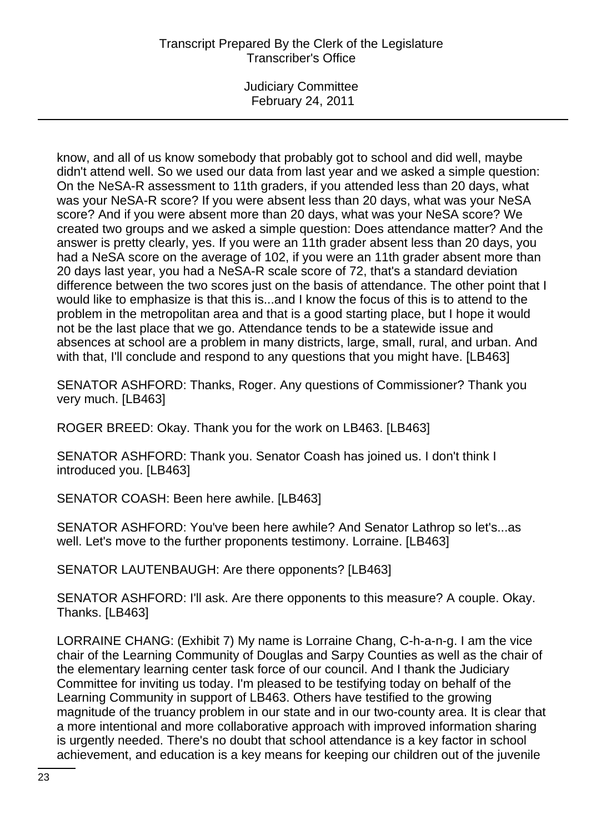Judiciary Committee February 24, 2011

know, and all of us know somebody that probably got to school and did well, maybe didn't attend well. So we used our data from last year and we asked a simple question: On the NeSA-R assessment to 11th graders, if you attended less than 20 days, what was your NeSA-R score? If you were absent less than 20 days, what was your NeSA score? And if you were absent more than 20 days, what was your NeSA score? We created two groups and we asked a simple question: Does attendance matter? And the answer is pretty clearly, yes. If you were an 11th grader absent less than 20 days, you had a NeSA score on the average of 102, if you were an 11th grader absent more than 20 days last year, you had a NeSA-R scale score of 72, that's a standard deviation difference between the two scores just on the basis of attendance. The other point that I would like to emphasize is that this is...and I know the focus of this is to attend to the problem in the metropolitan area and that is a good starting place, but I hope it would not be the last place that we go. Attendance tends to be a statewide issue and absences at school are a problem in many districts, large, small, rural, and urban. And with that, I'll conclude and respond to any questions that you might have. [LB463]

SENATOR ASHFORD: Thanks, Roger. Any questions of Commissioner? Thank you very much. [LB463]

ROGER BREED: Okay. Thank you for the work on LB463. [LB463]

SENATOR ASHFORD: Thank you. Senator Coash has joined us. I don't think I introduced you. [LB463]

SENATOR COASH: Been here awhile. [LB463]

SENATOR ASHFORD: You've been here awhile? And Senator Lathrop so let's...as well. Let's move to the further proponents testimony. Lorraine. [LB463]

SENATOR LAUTENBAUGH: Are there opponents? [LB463]

SENATOR ASHFORD: I'll ask. Are there opponents to this measure? A couple. Okay. Thanks. [LB463]

LORRAINE CHANG: (Exhibit 7) My name is Lorraine Chang, C-h-a-n-g. I am the vice chair of the Learning Community of Douglas and Sarpy Counties as well as the chair of the elementary learning center task force of our council. And I thank the Judiciary Committee for inviting us today. I'm pleased to be testifying today on behalf of the Learning Community in support of LB463. Others have testified to the growing magnitude of the truancy problem in our state and in our two-county area. It is clear that a more intentional and more collaborative approach with improved information sharing is urgently needed. There's no doubt that school attendance is a key factor in school achievement, and education is a key means for keeping our children out of the juvenile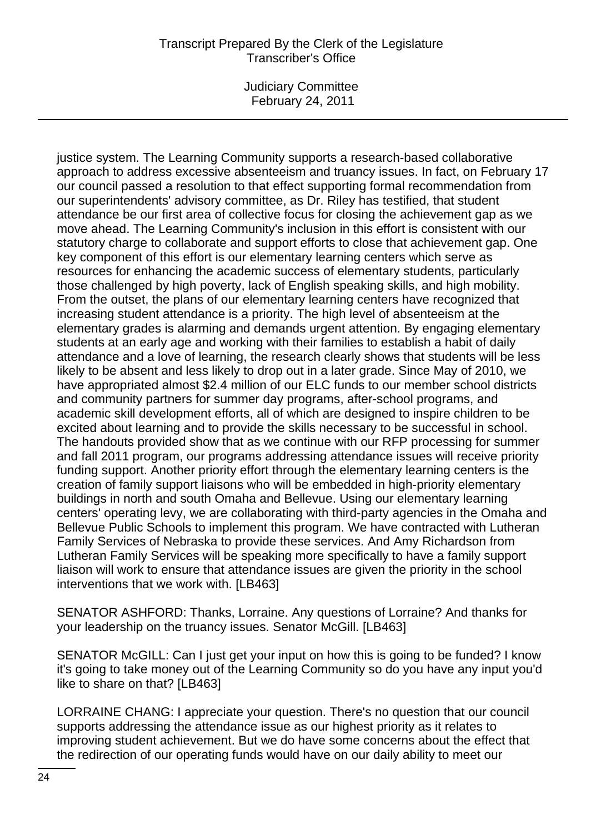Judiciary Committee February 24, 2011

justice system. The Learning Community supports a research-based collaborative approach to address excessive absenteeism and truancy issues. In fact, on February 17 our council passed a resolution to that effect supporting formal recommendation from our superintendents' advisory committee, as Dr. Riley has testified, that student attendance be our first area of collective focus for closing the achievement gap as we move ahead. The Learning Community's inclusion in this effort is consistent with our statutory charge to collaborate and support efforts to close that achievement gap. One key component of this effort is our elementary learning centers which serve as resources for enhancing the academic success of elementary students, particularly those challenged by high poverty, lack of English speaking skills, and high mobility. From the outset, the plans of our elementary learning centers have recognized that increasing student attendance is a priority. The high level of absenteeism at the elementary grades is alarming and demands urgent attention. By engaging elementary students at an early age and working with their families to establish a habit of daily attendance and a love of learning, the research clearly shows that students will be less likely to be absent and less likely to drop out in a later grade. Since May of 2010, we have appropriated almost \$2.4 million of our ELC funds to our member school districts and community partners for summer day programs, after-school programs, and academic skill development efforts, all of which are designed to inspire children to be excited about learning and to provide the skills necessary to be successful in school. The handouts provided show that as we continue with our RFP processing for summer and fall 2011 program, our programs addressing attendance issues will receive priority funding support. Another priority effort through the elementary learning centers is the creation of family support liaisons who will be embedded in high-priority elementary buildings in north and south Omaha and Bellevue. Using our elementary learning centers' operating levy, we are collaborating with third-party agencies in the Omaha and Bellevue Public Schools to implement this program. We have contracted with Lutheran Family Services of Nebraska to provide these services. And Amy Richardson from Lutheran Family Services will be speaking more specifically to have a family support liaison will work to ensure that attendance issues are given the priority in the school interventions that we work with. [LB463]

SENATOR ASHFORD: Thanks, Lorraine. Any questions of Lorraine? And thanks for your leadership on the truancy issues. Senator McGill. [LB463]

SENATOR McGILL: Can I just get your input on how this is going to be funded? I know it's going to take money out of the Learning Community so do you have any input you'd like to share on that? [LB463]

LORRAINE CHANG: I appreciate your question. There's no question that our council supports addressing the attendance issue as our highest priority as it relates to improving student achievement. But we do have some concerns about the effect that the redirection of our operating funds would have on our daily ability to meet our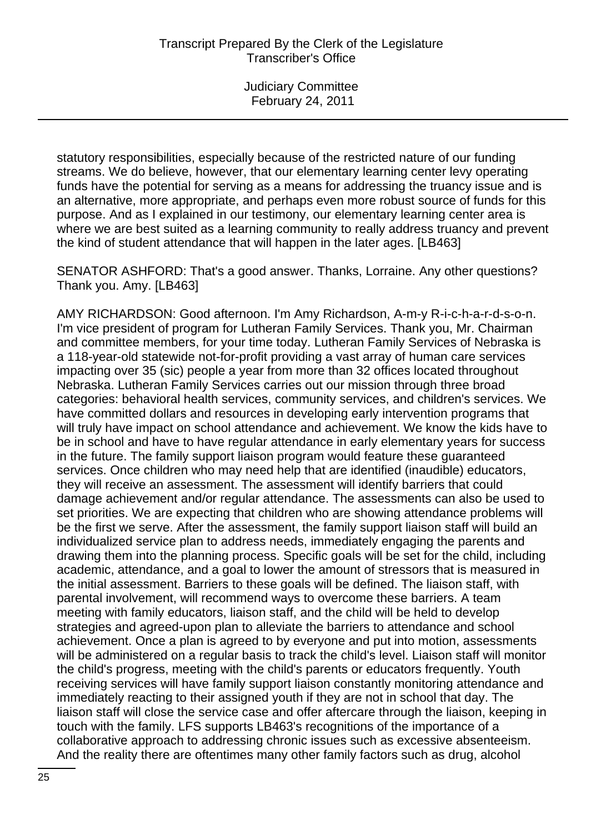statutory responsibilities, especially because of the restricted nature of our funding streams. We do believe, however, that our elementary learning center levy operating funds have the potential for serving as a means for addressing the truancy issue and is an alternative, more appropriate, and perhaps even more robust source of funds for this purpose. And as I explained in our testimony, our elementary learning center area is where we are best suited as a learning community to really address truancy and prevent the kind of student attendance that will happen in the later ages. [LB463]

SENATOR ASHFORD: That's a good answer. Thanks, Lorraine. Any other questions? Thank you. Amy. [LB463]

AMY RICHARDSON: Good afternoon. I'm Amy Richardson, A-m-y R-i-c-h-a-r-d-s-o-n. I'm vice president of program for Lutheran Family Services. Thank you, Mr. Chairman and committee members, for your time today. Lutheran Family Services of Nebraska is a 118-year-old statewide not-for-profit providing a vast array of human care services impacting over 35 (sic) people a year from more than 32 offices located throughout Nebraska. Lutheran Family Services carries out our mission through three broad categories: behavioral health services, community services, and children's services. We have committed dollars and resources in developing early intervention programs that will truly have impact on school attendance and achievement. We know the kids have to be in school and have to have regular attendance in early elementary years for success in the future. The family support liaison program would feature these guaranteed services. Once children who may need help that are identified (inaudible) educators, they will receive an assessment. The assessment will identify barriers that could damage achievement and/or regular attendance. The assessments can also be used to set priorities. We are expecting that children who are showing attendance problems will be the first we serve. After the assessment, the family support liaison staff will build an individualized service plan to address needs, immediately engaging the parents and drawing them into the planning process. Specific goals will be set for the child, including academic, attendance, and a goal to lower the amount of stressors that is measured in the initial assessment. Barriers to these goals will be defined. The liaison staff, with parental involvement, will recommend ways to overcome these barriers. A team meeting with family educators, liaison staff, and the child will be held to develop strategies and agreed-upon plan to alleviate the barriers to attendance and school achievement. Once a plan is agreed to by everyone and put into motion, assessments will be administered on a regular basis to track the child's level. Liaison staff will monitor the child's progress, meeting with the child's parents or educators frequently. Youth receiving services will have family support liaison constantly monitoring attendance and immediately reacting to their assigned youth if they are not in school that day. The liaison staff will close the service case and offer aftercare through the liaison, keeping in touch with the family. LFS supports LB463's recognitions of the importance of a collaborative approach to addressing chronic issues such as excessive absenteeism. And the reality there are oftentimes many other family factors such as drug, alcohol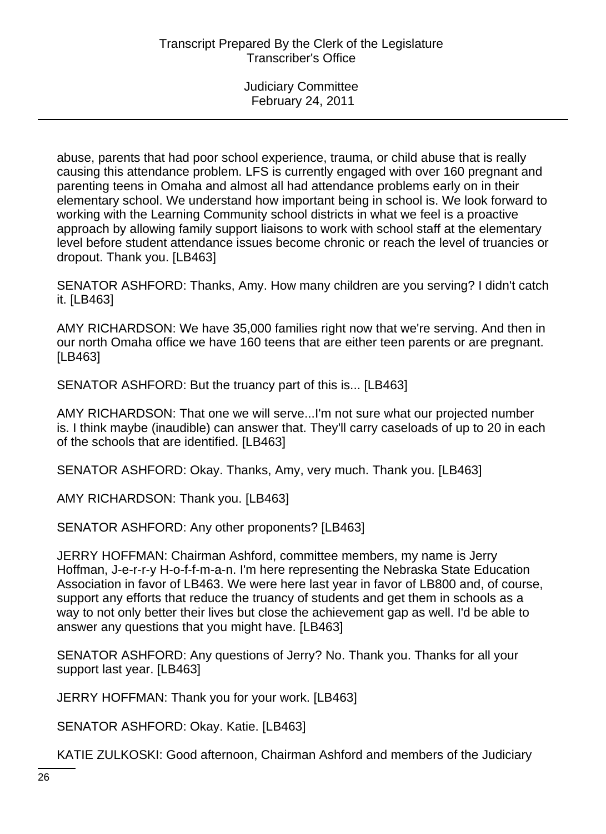abuse, parents that had poor school experience, trauma, or child abuse that is really causing this attendance problem. LFS is currently engaged with over 160 pregnant and parenting teens in Omaha and almost all had attendance problems early on in their elementary school. We understand how important being in school is. We look forward to working with the Learning Community school districts in what we feel is a proactive approach by allowing family support liaisons to work with school staff at the elementary level before student attendance issues become chronic or reach the level of truancies or dropout. Thank you. [LB463]

SENATOR ASHFORD: Thanks, Amy. How many children are you serving? I didn't catch it. [LB463]

AMY RICHARDSON: We have 35,000 families right now that we're serving. And then in our north Omaha office we have 160 teens that are either teen parents or are pregnant. [LB463]

SENATOR ASHFORD: But the truancy part of this is... [LB463]

AMY RICHARDSON: That one we will serve...I'm not sure what our projected number is. I think maybe (inaudible) can answer that. They'll carry caseloads of up to 20 in each of the schools that are identified. [LB463]

SENATOR ASHFORD: Okay. Thanks, Amy, very much. Thank you. [LB463]

AMY RICHARDSON: Thank you. [LB463]

SENATOR ASHFORD: Any other proponents? [LB463]

JERRY HOFFMAN: Chairman Ashford, committee members, my name is Jerry Hoffman, J-e-r-r-y H-o-f-f-m-a-n. I'm here representing the Nebraska State Education Association in favor of LB463. We were here last year in favor of LB800 and, of course, support any efforts that reduce the truancy of students and get them in schools as a way to not only better their lives but close the achievement gap as well. I'd be able to answer any questions that you might have. [LB463]

SENATOR ASHFORD: Any questions of Jerry? No. Thank you. Thanks for all your support last year. [LB463]

JERRY HOFFMAN: Thank you for your work. [LB463]

SENATOR ASHFORD: Okay. Katie. [LB463]

KATIE ZULKOSKI: Good afternoon, Chairman Ashford and members of the Judiciary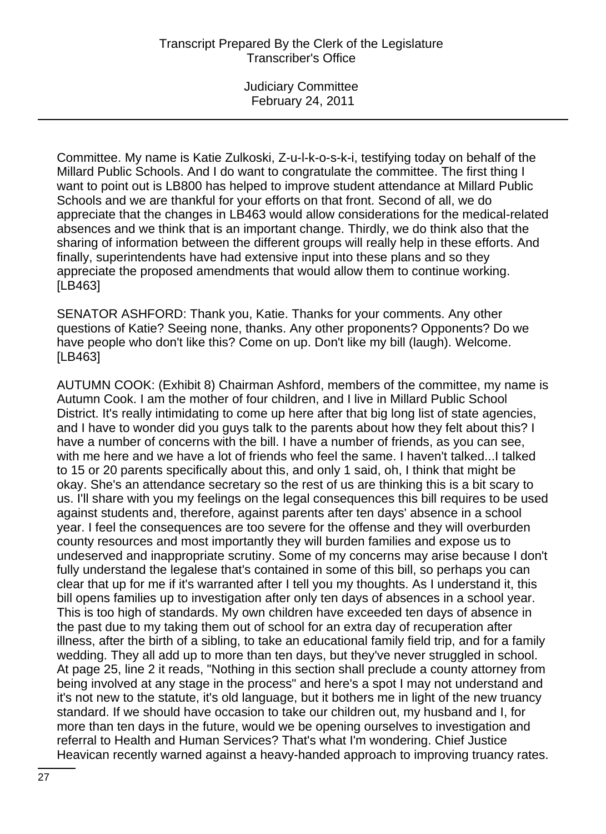Committee. My name is Katie Zulkoski, Z-u-l-k-o-s-k-i, testifying today on behalf of the Millard Public Schools. And I do want to congratulate the committee. The first thing I want to point out is LB800 has helped to improve student attendance at Millard Public Schools and we are thankful for your efforts on that front. Second of all, we do appreciate that the changes in LB463 would allow considerations for the medical-related absences and we think that is an important change. Thirdly, we do think also that the sharing of information between the different groups will really help in these efforts. And finally, superintendents have had extensive input into these plans and so they appreciate the proposed amendments that would allow them to continue working. [LB463]

SENATOR ASHFORD: Thank you, Katie. Thanks for your comments. Any other questions of Katie? Seeing none, thanks. Any other proponents? Opponents? Do we have people who don't like this? Come on up. Don't like my bill (laugh). Welcome. [LB463]

AUTUMN COOK: (Exhibit 8) Chairman Ashford, members of the committee, my name is Autumn Cook. I am the mother of four children, and I live in Millard Public School District. It's really intimidating to come up here after that big long list of state agencies, and I have to wonder did you guys talk to the parents about how they felt about this? I have a number of concerns with the bill. I have a number of friends, as you can see, with me here and we have a lot of friends who feel the same. I haven't talked...I talked to 15 or 20 parents specifically about this, and only 1 said, oh, I think that might be okay. She's an attendance secretary so the rest of us are thinking this is a bit scary to us. I'll share with you my feelings on the legal consequences this bill requires to be used against students and, therefore, against parents after ten days' absence in a school year. I feel the consequences are too severe for the offense and they will overburden county resources and most importantly they will burden families and expose us to undeserved and inappropriate scrutiny. Some of my concerns may arise because I don't fully understand the legalese that's contained in some of this bill, so perhaps you can clear that up for me if it's warranted after I tell you my thoughts. As I understand it, this bill opens families up to investigation after only ten days of absences in a school year. This is too high of standards. My own children have exceeded ten days of absence in the past due to my taking them out of school for an extra day of recuperation after illness, after the birth of a sibling, to take an educational family field trip, and for a family wedding. They all add up to more than ten days, but they've never struggled in school. At page 25, line 2 it reads, "Nothing in this section shall preclude a county attorney from being involved at any stage in the process" and here's a spot I may not understand and it's not new to the statute, it's old language, but it bothers me in light of the new truancy standard. If we should have occasion to take our children out, my husband and I, for more than ten days in the future, would we be opening ourselves to investigation and referral to Health and Human Services? That's what I'm wondering. Chief Justice Heavican recently warned against a heavy-handed approach to improving truancy rates.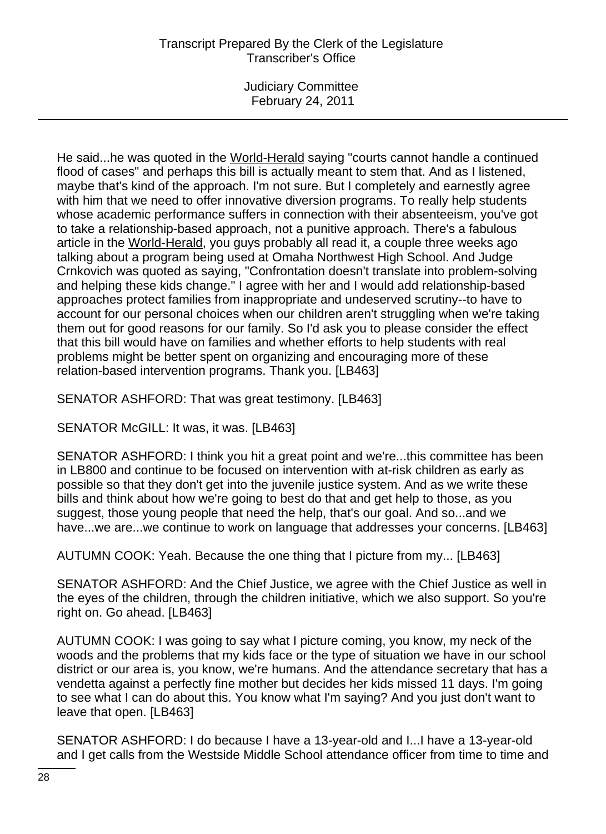Judiciary Committee February 24, 2011

He said...he was quoted in the World-Herald saying "courts cannot handle a continued flood of cases" and perhaps this bill is actually meant to stem that. And as I listened, maybe that's kind of the approach. I'm not sure. But I completely and earnestly agree with him that we need to offer innovative diversion programs. To really help students whose academic performance suffers in connection with their absenteeism, you've got to take a relationship-based approach, not a punitive approach. There's a fabulous article in the World-Herald, you guys probably all read it, a couple three weeks ago talking about a program being used at Omaha Northwest High School. And Judge Crnkovich was quoted as saying, "Confrontation doesn't translate into problem-solving and helping these kids change." I agree with her and I would add relationship-based approaches protect families from inappropriate and undeserved scrutiny--to have to account for our personal choices when our children aren't struggling when we're taking them out for good reasons for our family. So I'd ask you to please consider the effect that this bill would have on families and whether efforts to help students with real problems might be better spent on organizing and encouraging more of these relation-based intervention programs. Thank you. [LB463]

SENATOR ASHFORD: That was great testimony. [LB463]

SENATOR McGILL: It was, it was. [LB463]

SENATOR ASHFORD: I think you hit a great point and we're...this committee has been in LB800 and continue to be focused on intervention with at-risk children as early as possible so that they don't get into the juvenile justice system. And as we write these bills and think about how we're going to best do that and get help to those, as you suggest, those young people that need the help, that's our goal. And so...and we have...we are...we continue to work on language that addresses your concerns. [LB463]

AUTUMN COOK: Yeah. Because the one thing that I picture from my... [LB463]

SENATOR ASHFORD: And the Chief Justice, we agree with the Chief Justice as well in the eyes of the children, through the children initiative, which we also support. So you're right on. Go ahead. [LB463]

AUTUMN COOK: I was going to say what I picture coming, you know, my neck of the woods and the problems that my kids face or the type of situation we have in our school district or our area is, you know, we're humans. And the attendance secretary that has a vendetta against a perfectly fine mother but decides her kids missed 11 days. I'm going to see what I can do about this. You know what I'm saying? And you just don't want to leave that open. [LB463]

SENATOR ASHFORD: I do because I have a 13-year-old and I...I have a 13-year-old and I get calls from the Westside Middle School attendance officer from time to time and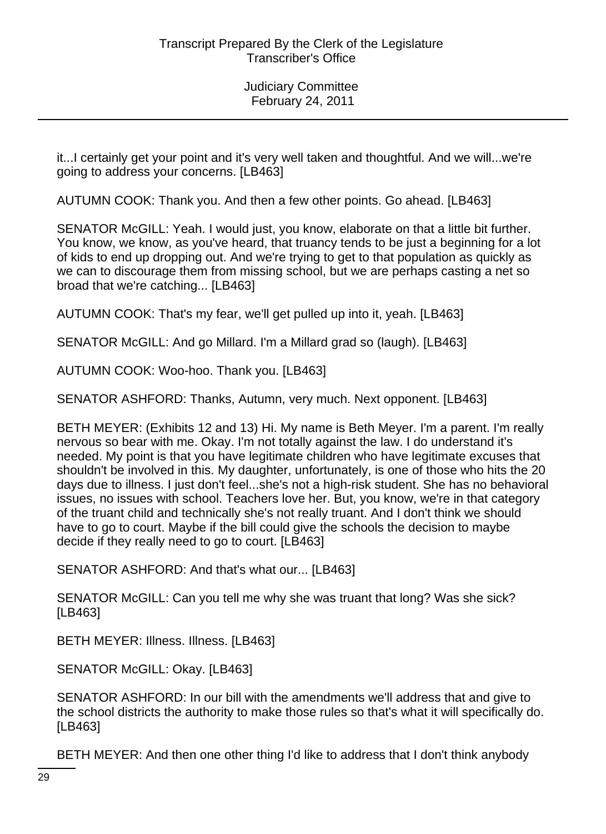it...I certainly get your point and it's very well taken and thoughtful. And we will...we're going to address your concerns. [LB463]

AUTUMN COOK: Thank you. And then a few other points. Go ahead. [LB463]

SENATOR McGILL: Yeah. I would just, you know, elaborate on that a little bit further. You know, we know, as you've heard, that truancy tends to be just a beginning for a lot of kids to end up dropping out. And we're trying to get to that population as quickly as we can to discourage them from missing school, but we are perhaps casting a net so broad that we're catching... [LB463]

AUTUMN COOK: That's my fear, we'll get pulled up into it, yeah. [LB463]

SENATOR McGILL: And go Millard. I'm a Millard grad so (laugh). [LB463]

AUTUMN COOK: Woo-hoo. Thank you. [LB463]

SENATOR ASHFORD: Thanks, Autumn, very much. Next opponent. [LB463]

BETH MEYER: (Exhibits 12 and 13) Hi. My name is Beth Meyer. I'm a parent. I'm really nervous so bear with me. Okay. I'm not totally against the law. I do understand it's needed. My point is that you have legitimate children who have legitimate excuses that shouldn't be involved in this. My daughter, unfortunately, is one of those who hits the 20 days due to illness. I just don't feel...she's not a high-risk student. She has no behavioral issues, no issues with school. Teachers love her. But, you know, we're in that category of the truant child and technically she's not really truant. And I don't think we should have to go to court. Maybe if the bill could give the schools the decision to maybe decide if they really need to go to court. [LB463]

SENATOR ASHFORD: And that's what our... [LB463]

SENATOR McGILL: Can you tell me why she was truant that long? Was she sick? [LB463]

BETH MEYER: Illness. Illness. [LB463]

SENATOR McGILL: Okay. [LB463]

SENATOR ASHFORD: In our bill with the amendments we'll address that and give to the school districts the authority to make those rules so that's what it will specifically do. [LB463]

BETH MEYER: And then one other thing I'd like to address that I don't think anybody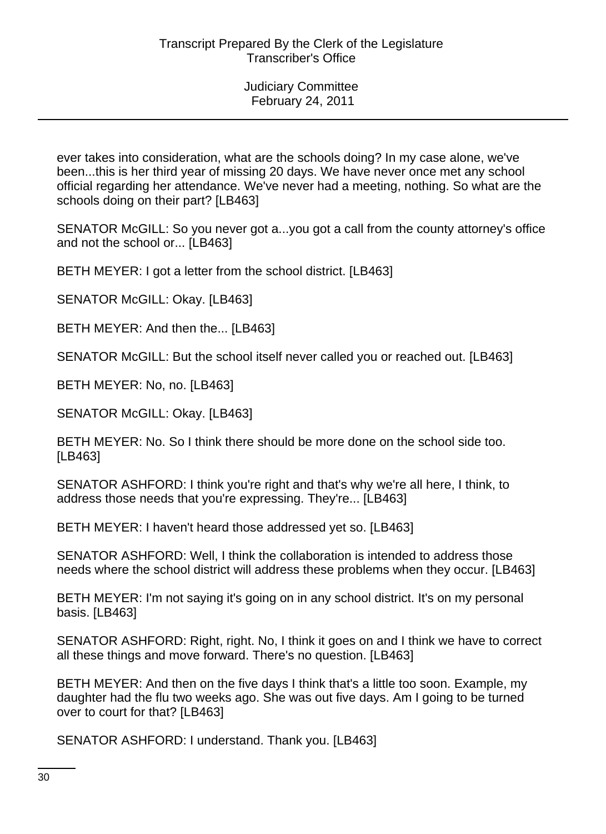ever takes into consideration, what are the schools doing? In my case alone, we've been...this is her third year of missing 20 days. We have never once met any school official regarding her attendance. We've never had a meeting, nothing. So what are the schools doing on their part? [LB463]

SENATOR McGILL: So you never got a...you got a call from the county attorney's office and not the school or... [LB463]

BETH MEYER: I got a letter from the school district. [LB463]

SENATOR McGILL: Okay. [LB463]

BETH MEYER: And then the... [LB463]

SENATOR McGILL: But the school itself never called you or reached out. [LB463]

BETH MEYER: No, no. [LB463]

SENATOR McGILL: Okay. [LB463]

BETH MEYER: No. So I think there should be more done on the school side too. [LB463]

SENATOR ASHFORD: I think you're right and that's why we're all here, I think, to address those needs that you're expressing. They're... [LB463]

BETH MEYER: I haven't heard those addressed yet so. [LB463]

SENATOR ASHFORD: Well, I think the collaboration is intended to address those needs where the school district will address these problems when they occur. [LB463]

BETH MEYER: I'm not saying it's going on in any school district. It's on my personal basis. [LB463]

SENATOR ASHFORD: Right, right. No, I think it goes on and I think we have to correct all these things and move forward. There's no question. [LB463]

BETH MEYER: And then on the five days I think that's a little too soon. Example, my daughter had the flu two weeks ago. She was out five days. Am I going to be turned over to court for that? [LB463]

SENATOR ASHFORD: I understand. Thank you. [LB463]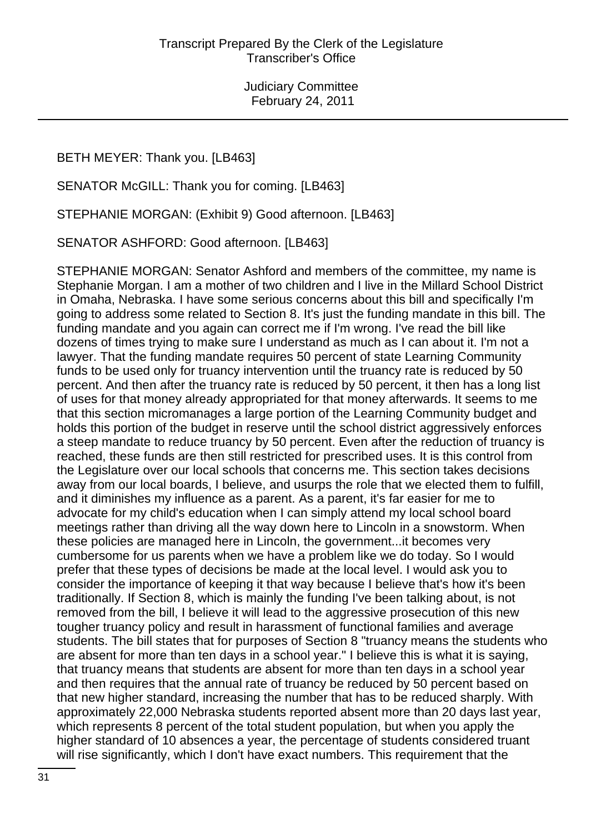BETH MEYER: Thank you. [LB463]

SENATOR McGILL: Thank you for coming. [LB463]

STEPHANIE MORGAN: (Exhibit 9) Good afternoon. [LB463]

SENATOR ASHFORD: Good afternoon. [LB463]

STEPHANIE MORGAN: Senator Ashford and members of the committee, my name is Stephanie Morgan. I am a mother of two children and I live in the Millard School District in Omaha, Nebraska. I have some serious concerns about this bill and specifically I'm going to address some related to Section 8. It's just the funding mandate in this bill. The funding mandate and you again can correct me if I'm wrong. I've read the bill like dozens of times trying to make sure I understand as much as I can about it. I'm not a lawyer. That the funding mandate requires 50 percent of state Learning Community funds to be used only for truancy intervention until the truancy rate is reduced by 50 percent. And then after the truancy rate is reduced by 50 percent, it then has a long list of uses for that money already appropriated for that money afterwards. It seems to me that this section micromanages a large portion of the Learning Community budget and holds this portion of the budget in reserve until the school district aggressively enforces a steep mandate to reduce truancy by 50 percent. Even after the reduction of truancy is reached, these funds are then still restricted for prescribed uses. It is this control from the Legislature over our local schools that concerns me. This section takes decisions away from our local boards, I believe, and usurps the role that we elected them to fulfill, and it diminishes my influence as a parent. As a parent, it's far easier for me to advocate for my child's education when I can simply attend my local school board meetings rather than driving all the way down here to Lincoln in a snowstorm. When these policies are managed here in Lincoln, the government...it becomes very cumbersome for us parents when we have a problem like we do today. So I would prefer that these types of decisions be made at the local level. I would ask you to consider the importance of keeping it that way because I believe that's how it's been traditionally. If Section 8, which is mainly the funding I've been talking about, is not removed from the bill, I believe it will lead to the aggressive prosecution of this new tougher truancy policy and result in harassment of functional families and average students. The bill states that for purposes of Section 8 "truancy means the students who are absent for more than ten days in a school year." I believe this is what it is saying, that truancy means that students are absent for more than ten days in a school year and then requires that the annual rate of truancy be reduced by 50 percent based on that new higher standard, increasing the number that has to be reduced sharply. With approximately 22,000 Nebraska students reported absent more than 20 days last year, which represents 8 percent of the total student population, but when you apply the higher standard of 10 absences a year, the percentage of students considered truant will rise significantly, which I don't have exact numbers. This requirement that the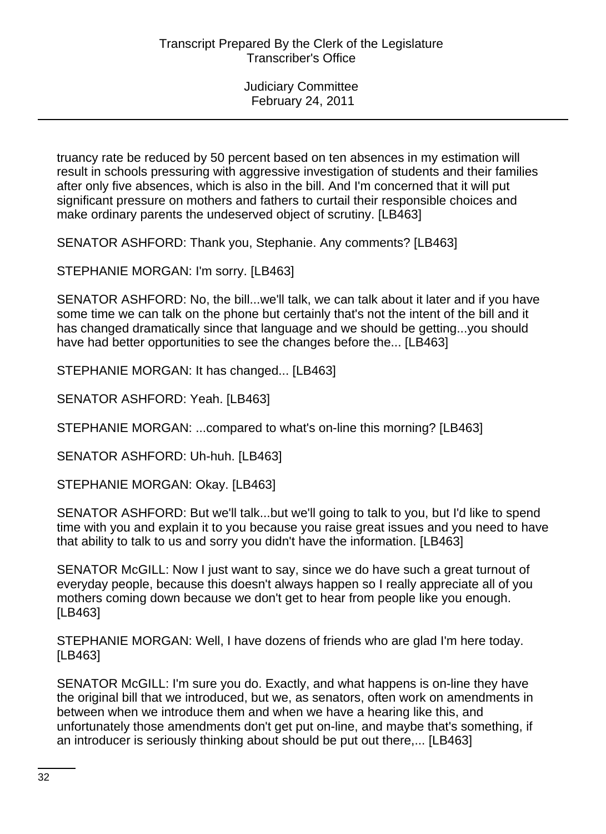truancy rate be reduced by 50 percent based on ten absences in my estimation will result in schools pressuring with aggressive investigation of students and their families after only five absences, which is also in the bill. And I'm concerned that it will put significant pressure on mothers and fathers to curtail their responsible choices and make ordinary parents the undeserved object of scrutiny. [LB463]

SENATOR ASHFORD: Thank you, Stephanie. Any comments? [LB463]

STEPHANIE MORGAN: I'm sorry. [LB463]

SENATOR ASHFORD: No, the bill...we'll talk, we can talk about it later and if you have some time we can talk on the phone but certainly that's not the intent of the bill and it has changed dramatically since that language and we should be getting...you should have had better opportunities to see the changes before the... [LB463]

STEPHANIE MORGAN: It has changed... [LB463]

SENATOR ASHFORD: Yeah. [LB463]

STEPHANIE MORGAN: ...compared to what's on-line this morning? [LB463]

SENATOR ASHFORD: Uh-huh. [LB463]

STEPHANIE MORGAN: Okay. [LB463]

SENATOR ASHFORD: But we'll talk...but we'll going to talk to you, but I'd like to spend time with you and explain it to you because you raise great issues and you need to have that ability to talk to us and sorry you didn't have the information. [LB463]

SENATOR McGILL: Now I just want to say, since we do have such a great turnout of everyday people, because this doesn't always happen so I really appreciate all of you mothers coming down because we don't get to hear from people like you enough. [LB463]

STEPHANIE MORGAN: Well, I have dozens of friends who are glad I'm here today. [LB463]

SENATOR McGILL: I'm sure you do. Exactly, and what happens is on-line they have the original bill that we introduced, but we, as senators, often work on amendments in between when we introduce them and when we have a hearing like this, and unfortunately those amendments don't get put on-line, and maybe that's something, if an introducer is seriously thinking about should be put out there,... [LB463]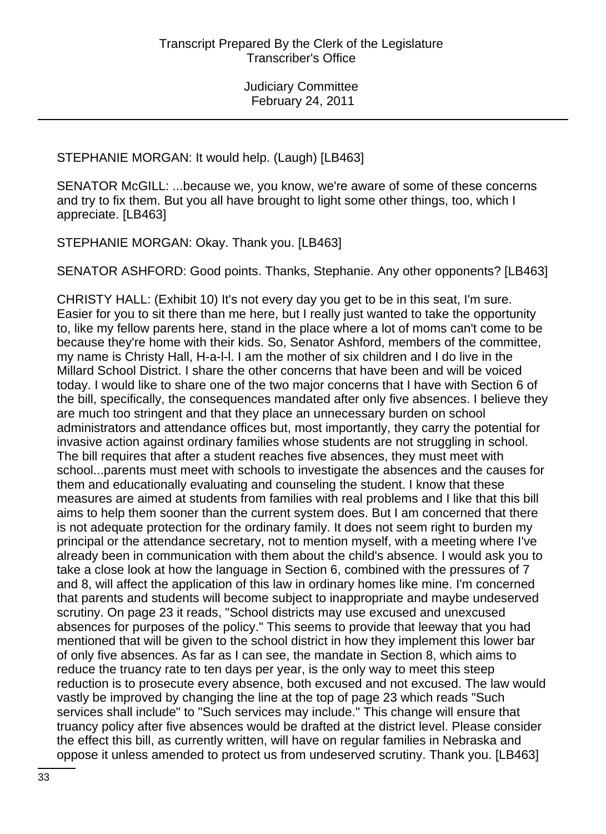STEPHANIE MORGAN: It would help. (Laugh) [LB463]

SENATOR McGILL: ...because we, you know, we're aware of some of these concerns and try to fix them. But you all have brought to light some other things, too, which I appreciate. [LB463]

STEPHANIE MORGAN: Okay. Thank you. [LB463]

SENATOR ASHFORD: Good points. Thanks, Stephanie. Any other opponents? [LB463]

CHRISTY HALL: (Exhibit 10) It's not every day you get to be in this seat, I'm sure. Easier for you to sit there than me here, but I really just wanted to take the opportunity to, like my fellow parents here, stand in the place where a lot of moms can't come to be because they're home with their kids. So, Senator Ashford, members of the committee, my name is Christy Hall, H-a-l-l. I am the mother of six children and I do live in the Millard School District. I share the other concerns that have been and will be voiced today. I would like to share one of the two major concerns that I have with Section 6 of the bill, specifically, the consequences mandated after only five absences. I believe they are much too stringent and that they place an unnecessary burden on school administrators and attendance offices but, most importantly, they carry the potential for invasive action against ordinary families whose students are not struggling in school. The bill requires that after a student reaches five absences, they must meet with school...parents must meet with schools to investigate the absences and the causes for them and educationally evaluating and counseling the student. I know that these measures are aimed at students from families with real problems and I like that this bill aims to help them sooner than the current system does. But I am concerned that there is not adequate protection for the ordinary family. It does not seem right to burden my principal or the attendance secretary, not to mention myself, with a meeting where I've already been in communication with them about the child's absence. I would ask you to take a close look at how the language in Section 6, combined with the pressures of 7 and 8, will affect the application of this law in ordinary homes like mine. I'm concerned that parents and students will become subject to inappropriate and maybe undeserved scrutiny. On page 23 it reads, "School districts may use excused and unexcused absences for purposes of the policy." This seems to provide that leeway that you had mentioned that will be given to the school district in how they implement this lower bar of only five absences. As far as I can see, the mandate in Section 8, which aims to reduce the truancy rate to ten days per year, is the only way to meet this steep reduction is to prosecute every absence, both excused and not excused. The law would vastly be improved by changing the line at the top of page 23 which reads "Such services shall include" to "Such services may include." This change will ensure that truancy policy after five absences would be drafted at the district level. Please consider the effect this bill, as currently written, will have on regular families in Nebraska and oppose it unless amended to protect us from undeserved scrutiny. Thank you. [LB463]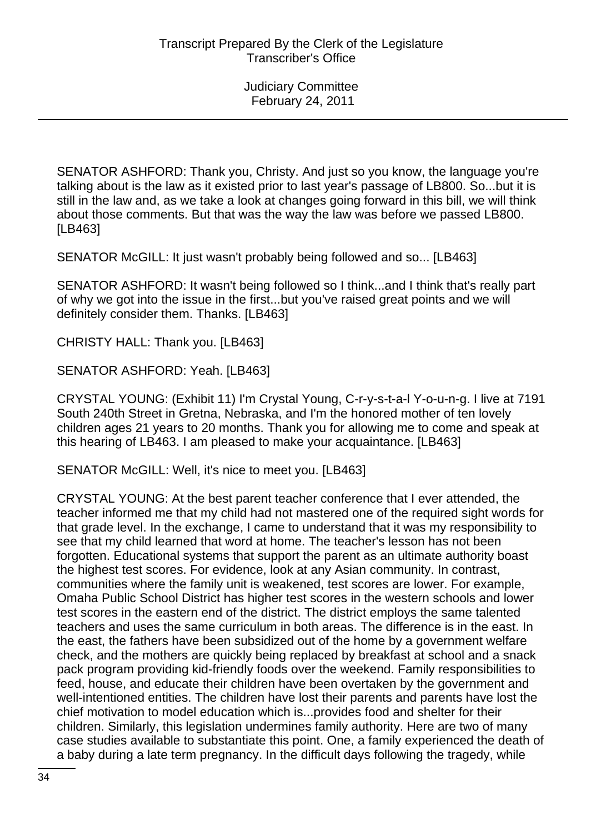SENATOR ASHFORD: Thank you, Christy. And just so you know, the language you're talking about is the law as it existed prior to last year's passage of LB800. So...but it is still in the law and, as we take a look at changes going forward in this bill, we will think about those comments. But that was the way the law was before we passed LB800. [LB463]

SENATOR McGILL: It just wasn't probably being followed and so... [LB463]

SENATOR ASHFORD: It wasn't being followed so I think...and I think that's really part of why we got into the issue in the first...but you've raised great points and we will definitely consider them. Thanks. [LB463]

CHRISTY HALL: Thank you. [LB463]

SENATOR ASHFORD: Yeah. [LB463]

CRYSTAL YOUNG: (Exhibit 11) I'm Crystal Young, C-r-y-s-t-a-l Y-o-u-n-g. I live at 7191 South 240th Street in Gretna, Nebraska, and I'm the honored mother of ten lovely children ages 21 years to 20 months. Thank you for allowing me to come and speak at this hearing of LB463. I am pleased to make your acquaintance. [LB463]

SENATOR McGILL: Well, it's nice to meet you. [LB463]

CRYSTAL YOUNG: At the best parent teacher conference that I ever attended, the teacher informed me that my child had not mastered one of the required sight words for that grade level. In the exchange, I came to understand that it was my responsibility to see that my child learned that word at home. The teacher's lesson has not been forgotten. Educational systems that support the parent as an ultimate authority boast the highest test scores. For evidence, look at any Asian community. In contrast, communities where the family unit is weakened, test scores are lower. For example, Omaha Public School District has higher test scores in the western schools and lower test scores in the eastern end of the district. The district employs the same talented teachers and uses the same curriculum in both areas. The difference is in the east. In the east, the fathers have been subsidized out of the home by a government welfare check, and the mothers are quickly being replaced by breakfast at school and a snack pack program providing kid-friendly foods over the weekend. Family responsibilities to feed, house, and educate their children have been overtaken by the government and well-intentioned entities. The children have lost their parents and parents have lost the chief motivation to model education which is...provides food and shelter for their children. Similarly, this legislation undermines family authority. Here are two of many case studies available to substantiate this point. One, a family experienced the death of a baby during a late term pregnancy. In the difficult days following the tragedy, while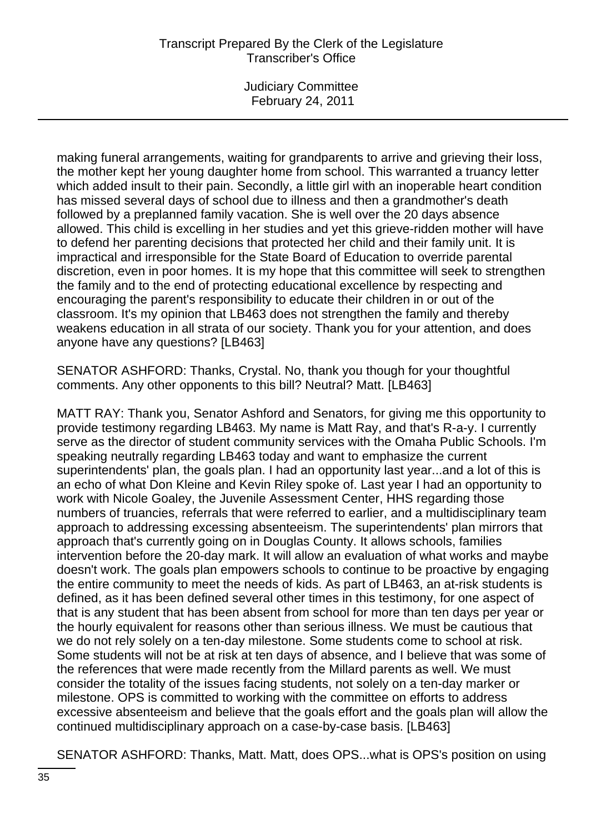Judiciary Committee February 24, 2011

making funeral arrangements, waiting for grandparents to arrive and grieving their loss, the mother kept her young daughter home from school. This warranted a truancy letter which added insult to their pain. Secondly, a little girl with an inoperable heart condition has missed several days of school due to illness and then a grandmother's death followed by a preplanned family vacation. She is well over the 20 days absence allowed. This child is excelling in her studies and yet this grieve-ridden mother will have to defend her parenting decisions that protected her child and their family unit. It is impractical and irresponsible for the State Board of Education to override parental discretion, even in poor homes. It is my hope that this committee will seek to strengthen the family and to the end of protecting educational excellence by respecting and encouraging the parent's responsibility to educate their children in or out of the classroom. It's my opinion that LB463 does not strengthen the family and thereby weakens education in all strata of our society. Thank you for your attention, and does anyone have any questions? [LB463]

SENATOR ASHFORD: Thanks, Crystal. No, thank you though for your thoughtful comments. Any other opponents to this bill? Neutral? Matt. [LB463]

MATT RAY: Thank you, Senator Ashford and Senators, for giving me this opportunity to provide testimony regarding LB463. My name is Matt Ray, and that's R-a-y. I currently serve as the director of student community services with the Omaha Public Schools. I'm speaking neutrally regarding LB463 today and want to emphasize the current superintendents' plan, the goals plan. I had an opportunity last year...and a lot of this is an echo of what Don Kleine and Kevin Riley spoke of. Last year I had an opportunity to work with Nicole Goaley, the Juvenile Assessment Center, HHS regarding those numbers of truancies, referrals that were referred to earlier, and a multidisciplinary team approach to addressing excessing absenteeism. The superintendents' plan mirrors that approach that's currently going on in Douglas County. It allows schools, families intervention before the 20-day mark. It will allow an evaluation of what works and maybe doesn't work. The goals plan empowers schools to continue to be proactive by engaging the entire community to meet the needs of kids. As part of LB463, an at-risk students is defined, as it has been defined several other times in this testimony, for one aspect of that is any student that has been absent from school for more than ten days per year or the hourly equivalent for reasons other than serious illness. We must be cautious that we do not rely solely on a ten-day milestone. Some students come to school at risk. Some students will not be at risk at ten days of absence, and I believe that was some of the references that were made recently from the Millard parents as well. We must consider the totality of the issues facing students, not solely on a ten-day marker or milestone. OPS is committed to working with the committee on efforts to address excessive absenteeism and believe that the goals effort and the goals plan will allow the continued multidisciplinary approach on a case-by-case basis. [LB463]

SENATOR ASHFORD: Thanks, Matt. Matt, does OPS...what is OPS's position on using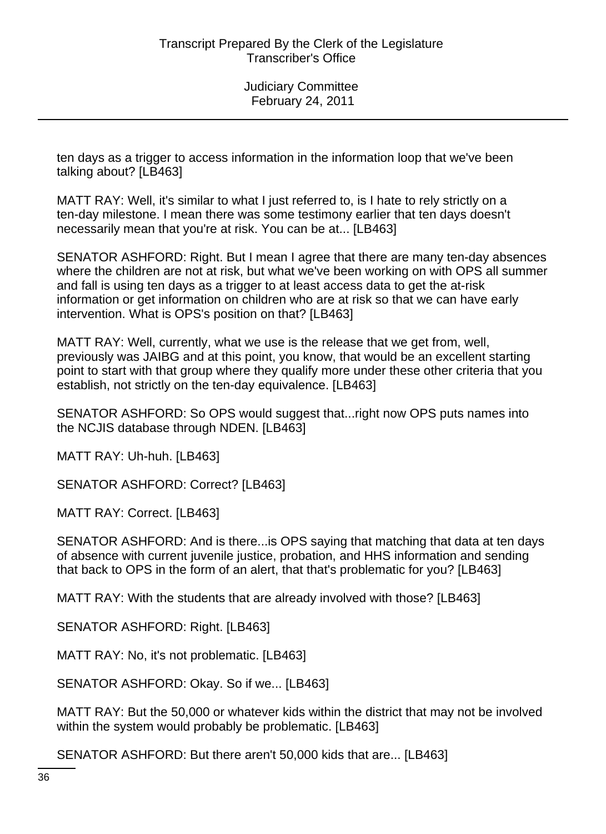ten days as a trigger to access information in the information loop that we've been talking about? [LB463]

MATT RAY: Well, it's similar to what I just referred to, is I hate to rely strictly on a ten-day milestone. I mean there was some testimony earlier that ten days doesn't necessarily mean that you're at risk. You can be at... [LB463]

SENATOR ASHFORD: Right. But I mean I agree that there are many ten-day absences where the children are not at risk, but what we've been working on with OPS all summer and fall is using ten days as a trigger to at least access data to get the at-risk information or get information on children who are at risk so that we can have early intervention. What is OPS's position on that? [LB463]

MATT RAY: Well, currently, what we use is the release that we get from, well, previously was JAIBG and at this point, you know, that would be an excellent starting point to start with that group where they qualify more under these other criteria that you establish, not strictly on the ten-day equivalence. [LB463]

SENATOR ASHFORD: So OPS would suggest that...right now OPS puts names into the NCJIS database through NDEN. [LB463]

MATT RAY: Uh-huh. [LB463]

SENATOR ASHFORD: Correct? [LB463]

MATT RAY: Correct. [LB463]

SENATOR ASHFORD: And is there...is OPS saying that matching that data at ten days of absence with current juvenile justice, probation, and HHS information and sending that back to OPS in the form of an alert, that that's problematic for you? [LB463]

MATT RAY: With the students that are already involved with those? [LB463]

SENATOR ASHFORD: Right. [LB463]

MATT RAY: No, it's not problematic. [LB463]

SENATOR ASHFORD: Okay. So if we... [LB463]

MATT RAY: But the 50,000 or whatever kids within the district that may not be involved within the system would probably be problematic. [LB463]

SENATOR ASHFORD: But there aren't 50,000 kids that are... [LB463]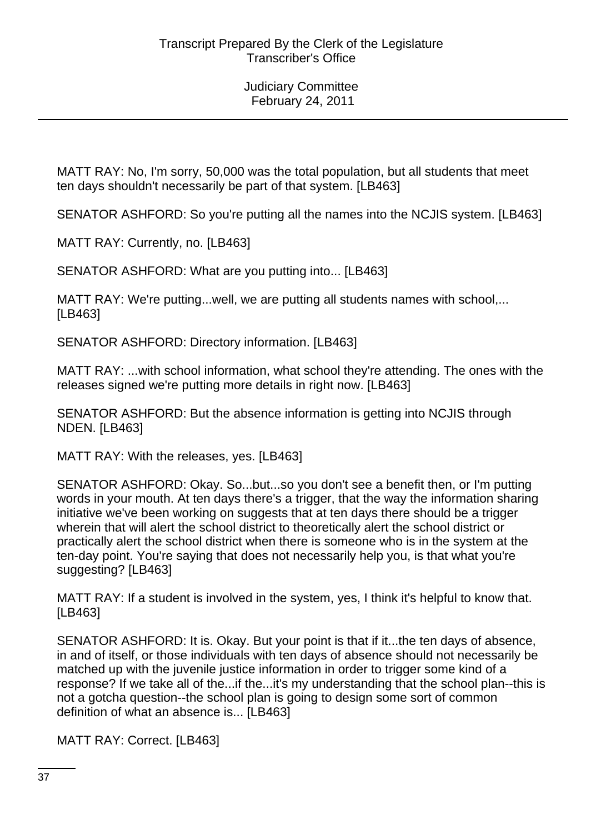MATT RAY: No, I'm sorry, 50,000 was the total population, but all students that meet ten days shouldn't necessarily be part of that system. [LB463]

SENATOR ASHFORD: So you're putting all the names into the NCJIS system. [LB463]

MATT RAY: Currently, no. [LB463]

SENATOR ASHFORD: What are you putting into... [LB463]

MATT RAY: We're putting...well, we are putting all students names with school,... [LB463]

SENATOR ASHFORD: Directory information. [LB463]

MATT RAY: ...with school information, what school they're attending. The ones with the releases signed we're putting more details in right now. [LB463]

SENATOR ASHFORD: But the absence information is getting into NCJIS through NDEN. [LB463]

MATT RAY: With the releases, yes. [LB463]

SENATOR ASHFORD: Okay. So...but...so you don't see a benefit then, or I'm putting words in your mouth. At ten days there's a trigger, that the way the information sharing initiative we've been working on suggests that at ten days there should be a trigger wherein that will alert the school district to theoretically alert the school district or practically alert the school district when there is someone who is in the system at the ten-day point. You're saying that does not necessarily help you, is that what you're suggesting? [LB463]

MATT RAY: If a student is involved in the system, yes, I think it's helpful to know that. [LB463]

SENATOR ASHFORD: It is. Okay. But your point is that if it...the ten days of absence, in and of itself, or those individuals with ten days of absence should not necessarily be matched up with the juvenile justice information in order to trigger some kind of a response? If we take all of the...if the...it's my understanding that the school plan--this is not a gotcha question--the school plan is going to design some sort of common definition of what an absence is... [LB463]

MATT RAY: Correct. [LB463]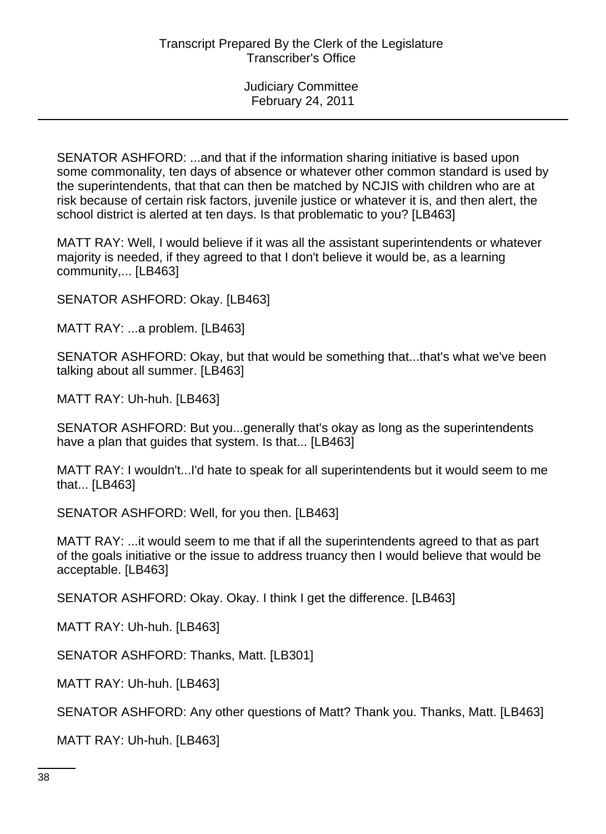SENATOR ASHFORD: ...and that if the information sharing initiative is based upon some commonality, ten days of absence or whatever other common standard is used by the superintendents, that that can then be matched by NCJIS with children who are at risk because of certain risk factors, juvenile justice or whatever it is, and then alert, the school district is alerted at ten days. Is that problematic to you? [LB463]

MATT RAY: Well, I would believe if it was all the assistant superintendents or whatever majority is needed, if they agreed to that I don't believe it would be, as a learning community,... [LB463]

SENATOR ASHFORD: Okay. [LB463]

MATT RAY: ...a problem. [LB463]

SENATOR ASHFORD: Okay, but that would be something that...that's what we've been talking about all summer. [LB463]

MATT RAY: Uh-huh. [LB463]

SENATOR ASHFORD: But you...generally that's okay as long as the superintendents have a plan that guides that system. Is that... [LB463]

MATT RAY: I wouldn't...I'd hate to speak for all superintendents but it would seem to me that... [LB463]

SENATOR ASHFORD: Well, for you then. [LB463]

MATT RAY: ...it would seem to me that if all the superintendents agreed to that as part of the goals initiative or the issue to address truancy then I would believe that would be acceptable. [LB463]

SENATOR ASHFORD: Okay. Okay. I think I get the difference. [LB463]

MATT RAY: Uh-huh. [LB463]

SENATOR ASHFORD: Thanks, Matt. [LB301]

MATT RAY: Uh-huh. [LB463]

SENATOR ASHFORD: Any other questions of Matt? Thank you. Thanks, Matt. [LB463]

MATT RAY: Uh-huh. [LB463]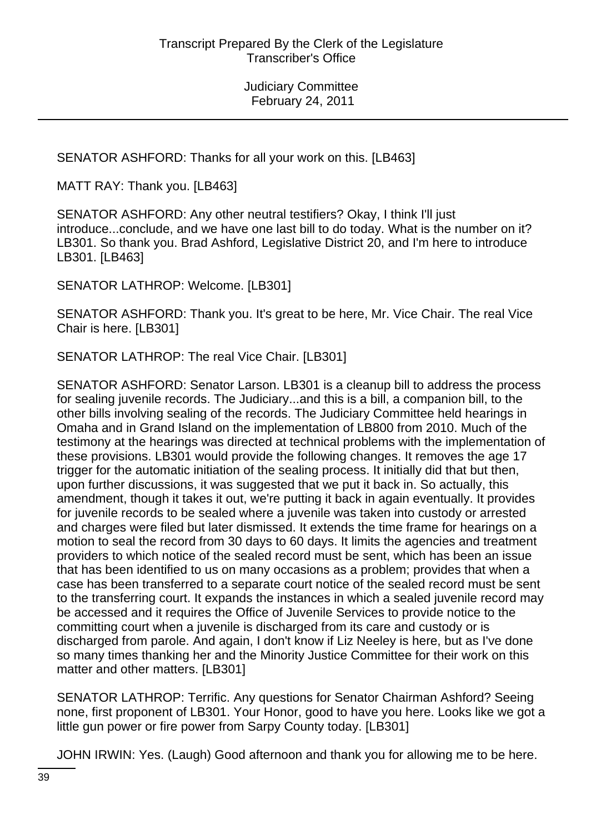SENATOR ASHFORD: Thanks for all your work on this. [LB463]

MATT RAY: Thank you. [LB463]

SENATOR ASHFORD: Any other neutral testifiers? Okay, I think I'll just introduce...conclude, and we have one last bill to do today. What is the number on it? LB301. So thank you. Brad Ashford, Legislative District 20, and I'm here to introduce LB301. [LB463]

SENATOR LATHROP: Welcome. [LB301]

SENATOR ASHFORD: Thank you. It's great to be here, Mr. Vice Chair. The real Vice Chair is here. [LB301]

SENATOR LATHROP: The real Vice Chair. [LB301]

SENATOR ASHFORD: Senator Larson. LB301 is a cleanup bill to address the process for sealing juvenile records. The Judiciary...and this is a bill, a companion bill, to the other bills involving sealing of the records. The Judiciary Committee held hearings in Omaha and in Grand Island on the implementation of LB800 from 2010. Much of the testimony at the hearings was directed at technical problems with the implementation of these provisions. LB301 would provide the following changes. It removes the age 17 trigger for the automatic initiation of the sealing process. It initially did that but then, upon further discussions, it was suggested that we put it back in. So actually, this amendment, though it takes it out, we're putting it back in again eventually. It provides for juvenile records to be sealed where a juvenile was taken into custody or arrested and charges were filed but later dismissed. It extends the time frame for hearings on a motion to seal the record from 30 days to 60 days. It limits the agencies and treatment providers to which notice of the sealed record must be sent, which has been an issue that has been identified to us on many occasions as a problem; provides that when a case has been transferred to a separate court notice of the sealed record must be sent to the transferring court. It expands the instances in which a sealed juvenile record may be accessed and it requires the Office of Juvenile Services to provide notice to the committing court when a juvenile is discharged from its care and custody or is discharged from parole. And again, I don't know if Liz Neeley is here, but as I've done so many times thanking her and the Minority Justice Committee for their work on this matter and other matters. [LB301]

SENATOR LATHROP: Terrific. Any questions for Senator Chairman Ashford? Seeing none, first proponent of LB301. Your Honor, good to have you here. Looks like we got a little gun power or fire power from Sarpy County today. [LB301]

JOHN IRWIN: Yes. (Laugh) Good afternoon and thank you for allowing me to be here.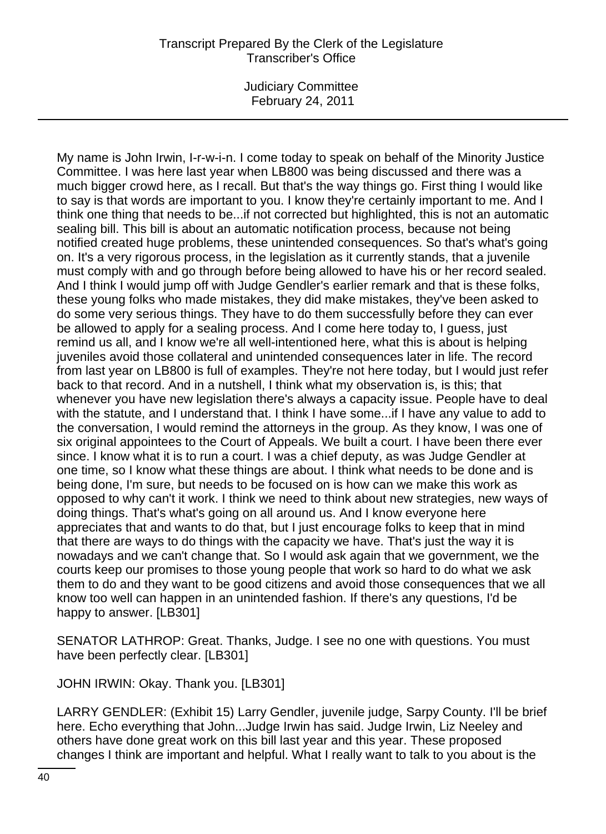Judiciary Committee February 24, 2011

My name is John Irwin, I-r-w-i-n. I come today to speak on behalf of the Minority Justice Committee. I was here last year when LB800 was being discussed and there was a much bigger crowd here, as I recall. But that's the way things go. First thing I would like to say is that words are important to you. I know they're certainly important to me. And I think one thing that needs to be...if not corrected but highlighted, this is not an automatic sealing bill. This bill is about an automatic notification process, because not being notified created huge problems, these unintended consequences. So that's what's going on. It's a very rigorous process, in the legislation as it currently stands, that a juvenile must comply with and go through before being allowed to have his or her record sealed. And I think I would jump off with Judge Gendler's earlier remark and that is these folks, these young folks who made mistakes, they did make mistakes, they've been asked to do some very serious things. They have to do them successfully before they can ever be allowed to apply for a sealing process. And I come here today to, I guess, just remind us all, and I know we're all well-intentioned here, what this is about is helping juveniles avoid those collateral and unintended consequences later in life. The record from last year on LB800 is full of examples. They're not here today, but I would just refer back to that record. And in a nutshell, I think what my observation is, is this; that whenever you have new legislation there's always a capacity issue. People have to deal with the statute, and I understand that. I think I have some...if I have any value to add to the conversation, I would remind the attorneys in the group. As they know, I was one of six original appointees to the Court of Appeals. We built a court. I have been there ever since. I know what it is to run a court. I was a chief deputy, as was Judge Gendler at one time, so I know what these things are about. I think what needs to be done and is being done, I'm sure, but needs to be focused on is how can we make this work as opposed to why can't it work. I think we need to think about new strategies, new ways of doing things. That's what's going on all around us. And I know everyone here appreciates that and wants to do that, but I just encourage folks to keep that in mind that there are ways to do things with the capacity we have. That's just the way it is nowadays and we can't change that. So I would ask again that we government, we the courts keep our promises to those young people that work so hard to do what we ask them to do and they want to be good citizens and avoid those consequences that we all know too well can happen in an unintended fashion. If there's any questions, I'd be happy to answer. [LB301]

SENATOR LATHROP: Great. Thanks, Judge. I see no one with questions. You must have been perfectly clear. [LB301]

JOHN IRWIN: Okay. Thank you. [LB301]

LARRY GENDLER: (Exhibit 15) Larry Gendler, juvenile judge, Sarpy County. I'll be brief here. Echo everything that John...Judge Irwin has said. Judge Irwin, Liz Neeley and others have done great work on this bill last year and this year. These proposed changes I think are important and helpful. What I really want to talk to you about is the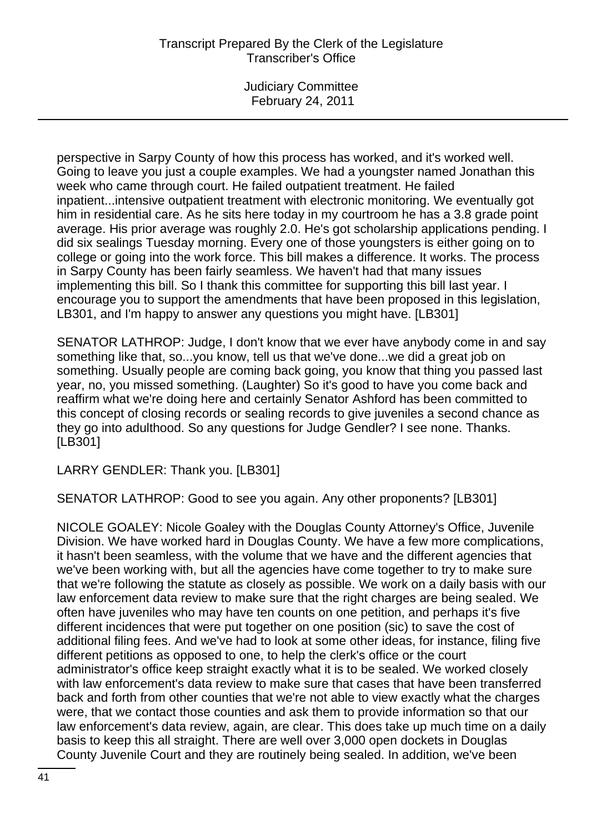Judiciary Committee February 24, 2011

perspective in Sarpy County of how this process has worked, and it's worked well. Going to leave you just a couple examples. We had a youngster named Jonathan this week who came through court. He failed outpatient treatment. He failed inpatient...intensive outpatient treatment with electronic monitoring. We eventually got him in residential care. As he sits here today in my courtroom he has a 3.8 grade point average. His prior average was roughly 2.0. He's got scholarship applications pending. I did six sealings Tuesday morning. Every one of those youngsters is either going on to college or going into the work force. This bill makes a difference. It works. The process in Sarpy County has been fairly seamless. We haven't had that many issues implementing this bill. So I thank this committee for supporting this bill last year. I encourage you to support the amendments that have been proposed in this legislation, LB301, and I'm happy to answer any questions you might have. [LB301]

SENATOR LATHROP: Judge, I don't know that we ever have anybody come in and say something like that, so...you know, tell us that we've done...we did a great job on something. Usually people are coming back going, you know that thing you passed last year, no, you missed something. (Laughter) So it's good to have you come back and reaffirm what we're doing here and certainly Senator Ashford has been committed to this concept of closing records or sealing records to give juveniles a second chance as they go into adulthood. So any questions for Judge Gendler? I see none. Thanks. [LB301]

LARRY GENDLER: Thank you. [LB301]

SENATOR LATHROP: Good to see you again. Any other proponents? [LB301]

NICOLE GOALEY: Nicole Goaley with the Douglas County Attorney's Office, Juvenile Division. We have worked hard in Douglas County. We have a few more complications, it hasn't been seamless, with the volume that we have and the different agencies that we've been working with, but all the agencies have come together to try to make sure that we're following the statute as closely as possible. We work on a daily basis with our law enforcement data review to make sure that the right charges are being sealed. We often have juveniles who may have ten counts on one petition, and perhaps it's five different incidences that were put together on one position (sic) to save the cost of additional filing fees. And we've had to look at some other ideas, for instance, filing five different petitions as opposed to one, to help the clerk's office or the court administrator's office keep straight exactly what it is to be sealed. We worked closely with law enforcement's data review to make sure that cases that have been transferred back and forth from other counties that we're not able to view exactly what the charges were, that we contact those counties and ask them to provide information so that our law enforcement's data review, again, are clear. This does take up much time on a daily basis to keep this all straight. There are well over 3,000 open dockets in Douglas County Juvenile Court and they are routinely being sealed. In addition, we've been